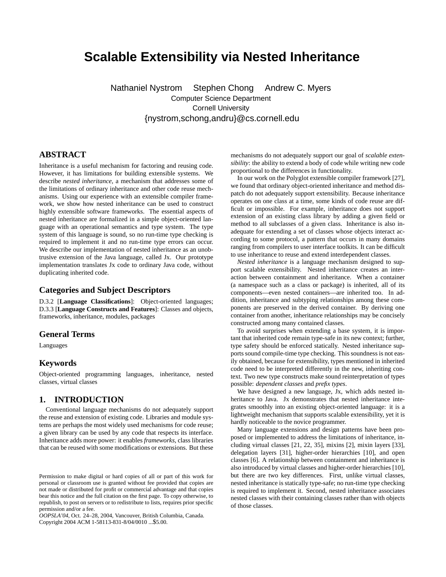# **Scalable Extensibility via Nested Inheritance**

Nathaniel Nystrom Stephen Chong Andrew C. Myers Computer Science Department Cornell University {nystrom,schong,andru}@cs.cornell.edu

## **ABSTRACT**

Inheritance is a useful mechanism for factoring and reusing code. However, it has limitations for building extensible systems. We describe *nested inheritance*, a mechanism that addresses some of the limitations of ordinary inheritance and other code reuse mechanisms. Using our experience with an extensible compiler framework, we show how nested inheritance can be used to construct highly extensible software frameworks. The essential aspects of nested inheritance are formalized in a simple object-oriented language with an operational semantics and type system. The type system of this language is sound, so no run-time type checking is required to implement it and no run-time type errors can occur. We describe our implementation of nested inheritance as an unobtrusive extension of the Java language, called Jx. Our prototype implementation translates Jx code to ordinary Java code, without duplicating inherited code.

## **Categories and Subject Descriptors**

D.3.2 [**Language Classifications**]: Object-oriented languages; D.3.3 [**Language Constructs and Features**]: Classes and objects, frameworks, inheritance, modules, packages

### **General Terms**

Languages

### **Keywords**

Object-oriented programming languages, inheritance, nested classes, virtual classes

## **1. INTRODUCTION**

Conventional language mechanisms do not adequately support the reuse and extension of existing code. Libraries and module systems are perhaps the most widely used mechanisms for code reuse; a given library can be used by any code that respects its interface. Inheritance adds more power: it enables *frameworks*, class libraries that can be reused with some modifications or extensions. But these

*OOPSLA'04,* Oct. 24–28, 2004, Vancouver, British Columbia, Canada. Copyright 2004 ACM 1-58113-831-8/04/0010 ...\$5.00.

mechanisms do not adequately support our goal of *scalable extensibility*: the ability to extend a body of code while writing new code proportional to the differences in functionality.

In our work on the Polyglot extensible compiler framework [27], we found that ordinary object-oriented inheritance and method dispatch do not adequately support extensibility. Because inheritance operates on one class at a time, some kinds of code reuse are difficult or impossible. For example, inheritance does not support extension of an existing class library by adding a given field or method to all subclasses of a given class. Inheritance is also inadequate for extending a set of classes whose objects interact according to some protocol, a pattern that occurs in many domains ranging from compilers to user interface toolkits. It can be difficult to use inheritance to reuse and extend interdependent classes.

*Nested inheritance* is a language mechanism designed to support scalable extensibility. Nested inheritance creates an interaction between containment and inheritance. When a container (a namespace such as a class or package) is inherited, all of its components—even nested containers—are inherited too. In addition, inheritance and subtyping relationships among these components are preserved in the derived container. By deriving one container from another, inheritance relationships may be concisely constructed among many contained classes.

To avoid surprises when extending a base system, it is important that inherited code remain type-safe in its new context; further, type safety should be enforced statically. Nested inheritance supports sound compile-time type checking. This soundness is not easily obtained, because for extensibility, types mentioned in inherited code need to be interpreted differently in the new, inheriting context. Two new type constructs make sound reinterpretation of types possible: *dependent classes* and *prefix types*.

We have designed a new language, Jx, which adds nested inheritance to Java. Jx demonstrates that nested inheritance integrates smoothly into an existing object-oriented language: it is a lightweight mechanism that supports scalable extensibility, yet it is hardly noticeable to the novice programmer.

Many language extensions and design patterns have been proposed or implemented to address the limitations of inheritance, including virtual classes [21, 22, 35], mixins [2], mixin layers [33], delegation layers [31], higher-order hierarchies [10], and open classes [6]. A relationship between containment and inheritance is also introduced by virtual classes and higher-order hierarchies [10], but there are two key differences. First, unlike virtual classes, nested inheritance is statically type-safe; no run-time type checking is required to implement it. Second, nested inheritance associates nested classes with their containing classes rather than with objects of those classes.

Permission to make digital or hard copies of all or part of this work for personal or classroom use is granted without fee provided that copies are not made or distributed for profit or commercial advantage and that copies bear this notice and the full citation on the first page. To copy otherwise, to republish, to post on servers or to redistribute to lists, requires prior specific permission and/or a fee.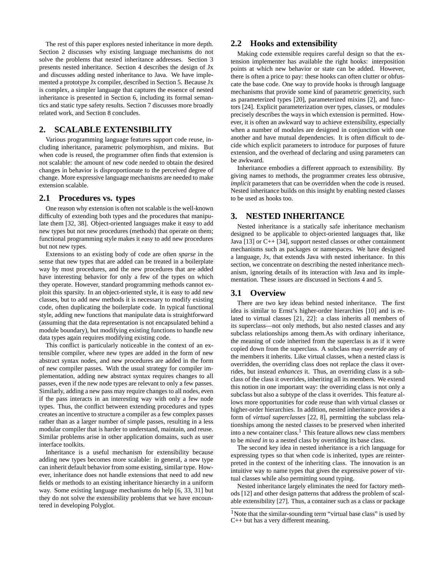The rest of this paper explores nested inheritance in more depth. Section 2 discusses why existing language mechanisms do not solve the problems that nested inheritance addresses. Section 3 presents nested inheritance. Section 4 describes the design of Jx and discusses adding nested inheritance to Java. We have implemented a prototype Jx compiler, described in Section 5. Because Jx is complex, a simpler language that captures the essence of nested inheritance is presented in Section 6, including its formal semantics and static type safety results. Section 7 discusses more broadly related work, and Section 8 concludes.

## **2. SCALABLE EXTENSIBILITY**

Various programming language features support code reuse, including inheritance, parametric polymorphism, and mixins. But when code is reused, the programmer often finds that extension is not scalable: the amount of new code needed to obtain the desired changes in behavior is disproportionate to the perceived degree of change. More expressive language mechanisms are needed to make extension scalable.

## **2.1 Procedures vs. types**

One reason why extension is often not scalable is the well-known difficulty of extending both types and the procedures that manipulate them [32, 38]. Object-oriented languages make it easy to add new types but not new procedures (methods) that operate on them; functional programming style makes it easy to add new procedures but not new types.

Extensions to an existing body of code are often *sparse* in the sense that new types that are added can be treated in a boilerplate way by most procedures, and the new procedures that are added have interesting behavior for only a few of the types on which they operate. However, standard programming methods cannot exploit this sparsity. In an object-oriented style, it is easy to add new classes, but to add new methods it is necessary to modify existing code, often duplicating the boilerplate code. In typical functional style, adding new functions that manipulate data is straightforward (assuming that the data representation is not encapsulated behind a module boundary), but modifying existing functions to handle new data types again requires modifying existing code.

This conflict is particularly noticeable in the context of an extensible compiler, where new types are added in the form of new abstract syntax nodes, and new procedures are added in the form of new compiler passes. With the usual strategy for compiler implementation, adding new abstract syntax requires changes to all passes, even if the new node types are relevant to only a few passes. Similarly, adding a new pass may require changes to all nodes, even if the pass interacts in an interesting way with only a few node types. Thus, the conflict between extending procedures and types creates an incentive to structure a compiler as a few complex passes rather than as a larger number of simple passes, resulting in a less modular compiler that is harder to understand, maintain, and reuse. Similar problems arise in other application domains, such as user interface toolkits.

Inheritance is a useful mechanism for extensibility because adding new types becomes more scalable: in general, a new type can inherit default behavior from some existing, similar type. However, inheritance does not handle extensions that need to add new fields or methods to an existing inheritance hierarchy in a uniform way. Some existing language mechanisms do help [6, 33, 31] but they do not solve the extensibility problems that we have encountered in developing Polyglot.

## **2.2 Hooks and extensibility**

Making code extensible requires careful design so that the extension implementer has available the right hooks: interposition points at which new behavior or state can be added. However, there is often a price to pay: these hooks can often clutter or obfuscate the base code. One way to provide hooks is through language mechanisms that provide some kind of parametric genericity, such as parameterized types [20], parameterized mixins [2], and functors [24]. Explicit parameterization over types, classes, or modules precisely describes the ways in which extension is permitted. However, it is often an awkward way to achieve extensibility, especially when a number of modules are designed in conjunction with one another and have mutual dependencies. It is often difficult to decide which explicit parameters to introduce for purposes of future extension, and the overhead of declaring and using parameters can be awkward.

Inheritance embodies a different approach to extensibility. By giving names to methods, the programmer creates less obtrusive, *implicit* parameters that can be overridden when the code is reused. Nested inheritance builds on this insight by enabling nested classes to be used as hooks too.

## **3. NESTED INHERITANCE**

Nested inheritance is a statically safe inheritance mechanism designed to be applicable to object-oriented languages that, like Java [13] or C++ [34], support nested classes or other containment mechanisms such as packages or namespaces. We have designed a language, Jx, that extends Java with nested inheritance. In this section, we concentrate on describing the nested inheritance mechanism, ignoring details of its interaction with Java and its implementation. These issues are discussed in Sections 4 and 5.

## **3.1 Overview**

There are two key ideas behind nested inheritance. The first idea is similar to Ernst's higher-order hierarchies [10] and is related to virtual classes [21, 22]: a class inherits all members of its superclass—not only methods, but also nested classes and any subclass relationships among them.As with ordinary inheritance, the meaning of code inherited from the superclass is as if it were copied down from the superclass. A subclass may *override* any of the members it inherits. Like virtual classes, when a nested class is overridden, the overriding class does not replace the class it overrides, but instead *enhances* it. Thus, an overriding class is a subclass of the class it overrides, inheriting all its members. We extend this notion in one important way: the overriding class is not only a subclass but also a subtype of the class it overrides. This feature allows more opportunities for code reuse than with virtual classes or higher-order hierarchies. In addition, nested inheritance provides a form of *virtual superclasses* [22, 8], permitting the subclass relationships among the nested classes to be preserved when inherited into a new container class.<sup>1</sup> This feature allows new class members to be *mixed in* to a nested class by overriding its base class.

The second key idea in nested inheritance is a rich language for expressing types so that when code is inherited, types are reinterpreted in the context of the inheriting class. The innovation is an intuitive way to name types that gives the expressive power of virtual classes while also permitting sound typing.

Nested inheritance largely eliminates the need for factory methods [12] and other design patterns that address the problem of scalable extensibility [27]. Thus, a container such as a class or package

<sup>&</sup>lt;sup>1</sup>Note that the similar-sounding term "virtual base class" is used by C++ but has a very different meaning.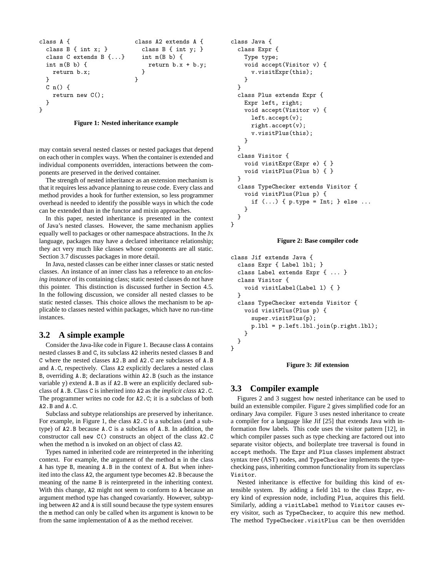```
class A {
  class B { int x; }
  class C extends B {...}
  int m(B b) {
    return b.x;
  }
 C n() {
    return new C();
  }
}
                             class A2 extends A {
                               class B { int y; }
                               int m(B b) {
                                 return b.x + b.y;
                               }
                             }
```
#### **Figure 1: Nested inheritance example**

may contain several nested classes or nested packages that depend on each other in complex ways. When the container is extended and individual components overridden, interactions between the components are preserved in the derived container.

The strength of nested inheritance as an extension mechanism is that it requires less advance planning to reuse code. Every class and method provides a hook for further extension, so less programmer overhead is needed to identify the possible ways in which the code can be extended than in the functor and mixin approaches.

In this paper, nested inheritance is presented in the context of Java's nested classes. However, the same mechanism applies equally well to packages or other namespace abstractions. In the Jx language, packages may have a declared inheritance relationship; they act very much like classes whose components are all static. Section 3.7 discusses packages in more detail.

In Java, nested classes can be either inner classes or static nested classes. An instance of an inner class has a reference to an *enclosing instance* of its containing class; static nested classes do not have this pointer. This distinction is discussed further in Section 4.5. In the following discussion, we consider all nested classes to be static nested classes. This choice allows the mechanism to be applicable to classes nested within packages, which have no run-time instances.

### **3.2 A simple example**

Consider the Java-like code in Figure 1. Because class A contains nested classes B and C, its subclass A2 inherits nested classes B and C where the nested classes A2.B and A2.C are subclasses of A.B and A.C, respectively. Class A2 explicitly declares a nested class B, overriding A.B; declarations within A2.B (such as the instance variable y) extend A.B as if A2.B were an explicitly declared subclass of A.B. Class C is inherited into A2 as the *implicit class* A2.C. The programmer writes no code for A2.C; it is a subclass of both A2.B and A.C.

Subclass and subtype relationships are preserved by inheritance. For example, in Figure 1, the class A2.C is a subclass (and a subtype) of A2.B because A.C is a subclass of A.B. In addition, the constructor call new C() constructs an object of the class A2.C when the method n is invoked on an object of class A2.

Types named in inherited code are reinterpreted in the inheriting context. For example, the argument of the method m in the class A has type B, meaning A.B in the context of A. But when inherited into the class A2, the argument type becomes A2.B because the meaning of the name B is reinterpreted in the inheriting context. With this change, A2 might not seem to conform to A because an argument method type has changed covariantly. However, subtyping between A2 and A is still sound because the type system ensures the m method can only be called when its argument is known to be from the same implementation of A as the method receiver.

```
class Java {
 class Expr {
    Type type;
    void accept(Visitor v) {
      v.visitExpr(this);
    }
  }
  class Plus extends Expr {
    Expr left, right;
    void accept(Visitor v) {
      left.accept(v);
      right.accept(v);
      v.visitPlus(this);
    }
  }
  class Visitor {
    void visitExpr(Expr e) { }
    void visitPlus(Plus b) { }
  }
  class TypeChecker extends Visitor {
    void visitPlus(Plus p) {
      if (...) { p.type = Int; } else ...
    }
 }
}
```


```
class Jif extends Java {
  class Expr { Label lbl; }
  class Label extends Expr { ... }
  class Visitor {
    void visitLabel(Label l) { }
  }
  class TypeChecker extends Visitor {
    void visitPlus(Plus p) {
      super.visitPlus(p);
      p.lbl = p.left.lbl.join(p.right.lbl);
    }
 }
}
```
#### **Figure 3: Jif extension**

## **3.3 Compiler example**

Figures 2 and 3 suggest how nested inheritance can be used to build an extensible compiler. Figure 2 gives simplified code for an ordinary Java compiler. Figure 3 uses nested inheritance to create a compiler for a language like Jif [25] that extends Java with information flow labels. This code uses the visitor pattern [12], in which compiler passes such as type checking are factored out into separate visitor objects, and boilerplate tree traversal is found in accept methods. The Expr and Plus classes implement abstract syntax tree (AST) nodes, and TypeChecker implements the typechecking pass, inheriting common functionality from its superclass Visitor.

Nested inheritance is effective for building this kind of extensible system. By adding a field lbl to the class Expr, every kind of expression node, including Plus, acquires this field. Similarly, adding a visitLabel method to Visitor causes every visitor, such as TypeChecker, to acquire this new method. The method TypeChecker.visitPlus can be then overridden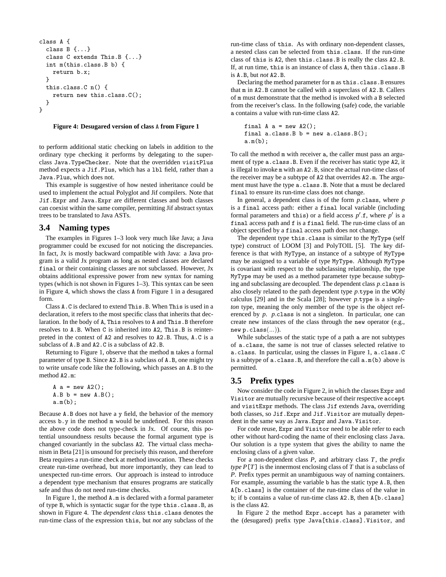```
class A {
 class B {...}
 class C extends This.B {...}
 int m(this.class.B b) {
   return b.x;
 }
 this.class.C n() {
   return new this.class.C();
 }
}
```
#### **Figure 4: Desugared version of class** A **from Figure 1**

to perform additional static checking on labels in addition to the ordinary type checking it performs by delegating to the superclass Java.TypeChecker. Note that the overridden visitPlus method expects a Jif.Plus, which has a lbl field, rather than a Java.Plus, which does not.

This example is suggestive of how nested inheritance could be used to implement the actual Polyglot and Jif compilers. Note that Jif.Expr and Java.Expr are different classes and both classes can coexist within the same compiler, permitting Jif abstract syntax trees to be translated to Java ASTs.

#### **3.4 Naming types**

The examples in Figures 1–3 look very much like Java; a Java programmer could be excused for not noticing the discrepancies. In fact, Jx is mostly backward compatible with Java: a Java program is a valid Jx program as long as nested classes are declared final or their containing classes are not subclassed. However, Jx obtains additional expressive power from new syntax for naming types (which is not shown in Figures 1–3). This syntax can be seen in Figure 4, which shows the class A from Figure 1 in a desugared form.

Class A.C is declared to extend This.B. When This is used in a declaration, it refers to the most specific class that inherits that declaration. In the body of A, This resolves to A and This. B therefore resolves to A.B. When C is inherited into A2, This.B is reinterpreted in the context of A2 and resolves to A2.B. Thus, A.C is a subclass of A.B and A2.C is a subclass of A2.B.

Returning to Figure 1, observe that the method m takes a formal parameter of type B. Since A2.B is a subclass of A.B, one might try to write unsafe code like the following, which passes an A.B to the method A2.m:

```
A = new A2():
A.B b = new A.B();a.m(b);
```
Because A.B does not have a y field, the behavior of the memory access b.y in the method m would be undefined. For this reason the above code does not type-check in Jx. Of course, this potential unsoundness results because the formal argument type is changed covariantly in the subclass A2. The virtual class mechanism in Beta [21] is unsound for precisely this reason, and therefore Beta requires a run-time check at method invocation. These checks create run-time overhead, but more importantly, they can lead to unexpected run-time errors. Our approach is instead to introduce a dependent type mechanism that ensures programs are statically safe and thus do not need run-time checks.

In Figure 1, the method A.m is declared with a formal parameter of type B, which is syntactic sugar for the type this.class.B, as shown in Figure 4. The *dependent class* this.class denotes the run-time class of the expression this, but *not* any subclass of the run-time class of this. As with ordinary non-dependent classes, a nested class can be selected from this.class. If the run-time class of this is A2, then this.class.B is really the class A2.B. If, at run time, this is an instance of class A, then this.class.B is A.B, but *not* A2.B.

Declaring the method parameter for m as this.class.B ensures that m in A2.B cannot be called with a superclass of A2.B. Callers of m must demonstrate that the method is invoked with a B selected from the receiver's class. In the following (safe) code, the variable a contains a value with run-time class A2.

```
final A = new A2();
final a.class.B b = new a.class.B();
a.m(b);
```
To call the method m with receiver a, the caller must pass an argument of type a.class.B. Even if the receiver has static type A2, it is illegal to invoke m with an A2.B, since the actual run-time class of the receiver may be a subtype of A2 that overrides A2.m. The argument must have the type a.class.B. Note that a must be declared final to ensure its run-time class does not change.

In general, a dependent class is of the form *p*.class, where *p* is a final access path: either a final local variable (including formal parameters and this) or a field access  $p'.f$ , where  $p'$  is a final access path and f is a final field. The run-time class of an object specified by a final access path does not change.

The dependent type this.class is similar to the MyType (self type) construct of LOOM [3] and PolyTOIL [5]. The key difference is that with MyType, an instance of a subtype of MyType may be assigned to a variable of type MyType. Although MyType is covariant with respect to the subclassing relationship, the type MyType may be used as a method parameter type because subtyping and subclassing are decoupled. The dependent class *p*.class is also closely related to the path dependent type *p*.type in the ν*Obj* calculus [29] and in the Scala [28]; however *p*.type is a *singleton* type, meaning the only member of the type is the object referenced by *p*. *p*.class is not a singleton. In particular, one can create new instances of the class through the new operator (e.g.,  $new p.class(...).$ 

While subclasses of the static type of a path a are not subtypes of a.class, the same is not true of classes selected relative to a.class. In particular, using the classes in Figure 1, a.class.C is a subtype of a.class.B, and therefore the call a.m(b) above is permitted.

### **3.5 Prefix types**

Now consider the code in Figure 2, in which the classes Expr and Visitor are mutually recursive because of their respective accept and visitExpr methods. The class Jif extends Java, overriding both classes, so Jif.Expr and Jif.Visitor are mutually dependent in the same way as Java. Expr and Java. Visitor.

For code reuse, Expr and Visitor need to be able refer to each other without hard-coding the name of their enclosing class Java. Our solution is a type system that gives the ability to name the enclosing class of a given value.

For a non-dependent class *P*, and arbitrary class *T*, the *prefix type P*[*T*] is the innermost enclosing class of *T* that is a subclass of *P*. Prefix types permit an unambiguous way of naming containers. For example, assuming the variable b has the static type A.B, then A[b.class] is the container of the run-time class of the value in b; if b contains a value of run-time class A2.B, then A[b.class] is the class A2.

In Figure 2 the method Expr.accept has a parameter with the (desugared) prefix type Java[this.class].Visitor, and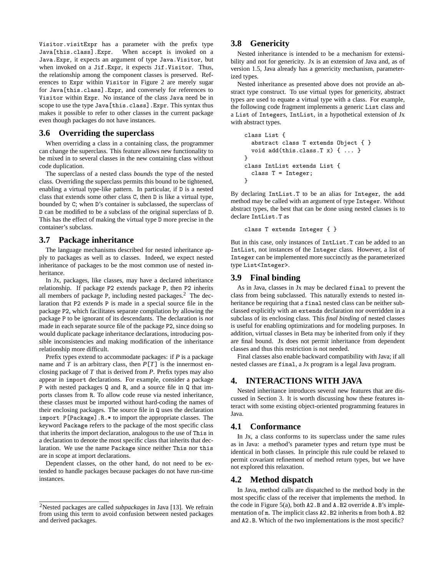Visitor.visitExpr has a parameter with the prefix type Java[this.class].Expr. When accept is invoked on a Java.Expr, it expects an argument of type Java.Visitor, but when invoked on a Jif.Expr, it expects Jif.Visitor. Thus, the relationship among the component classes is preserved. References to Expr within Visitor in Figure 2 are merely sugar for Java[this.class].Expr, and conversely for references to Visitor within Expr. No instance of the class Java need be in scope to use the type Java[this.class].Expr. This syntax thus makes it possible to refer to other classes in the current package even though packages do not have instances.

## **3.6 Overriding the superclass**

When overriding a class in a containing class, the programmer can change the superclass. This feature allows new functionality to be mixed in to several classes in the new containing class without code duplication.

The superclass of a nested class *bounds* the type of the nested class. Overriding the superclass permits this bound to be tightened, enabling a virtual type-like pattern. In particular, if D is a nested class that extends some other class C, then D is like a virtual type, bounded by C; when D's container is subclassed, the superclass of D can be modified to be a subclass of the original superclass of D. This has the effect of making the virtual type D more precise in the container's subclass.

## **3.7 Package inheritance**

The language mechanisms described for nested inheritance apply to packages as well as to classes. Indeed, we expect nested inheritance of packages to be the most common use of nested inheritance.

In Jx, packages, like classes, may have a declared inheritance relationship. If package P2 extends package P, then P2 inherits all members of package P, including nested packages. $<sup>2</sup>$  The dec-</sup> laration that P2 extends P is made in a special source file in the package P2, which facilitates separate compilation by allowing the package P to be ignorant of its descendants. The declaration is *not* made in each separate source file of the package P2, since doing so would duplicate package inheritance declarations, introducing possible inconsistencies and making modification of the inheritance relationship more difficult.

Prefix types extend to accommodate packages: if *P* is a package name and *T* is an arbitrary class, then *P*[*T*] is the innermost enclosing package of *T* that is derived from *P*. Prefix types may also appear in import declarations. For example, consider a package P with nested packages Q and R, and a source file in Q that imports classes from R. To allow code reuse via nested inheritance, these classes must be imported without hard-coding the names of their enclosing packages. The source file in Q uses the declaration import P[Package].R.\* to import the appropriate classes. The keyword Package refers to the package of the most specific class that inherits the import declaration, analogous to the use of This in a declaration to denote the most specific class that inherits that declaration. We use the name Package since neither This nor this are in scope at import declarations.

Dependent classes, on the other hand, do not need to be extended to handle packages because packages do not have run-time instances.

## **3.8 Genericity**

Nested inheritance is intended to be a mechanism for extensibility and not for genericity. Jx is an extension of Java and, as of version 1.5, Java already has a genericity mechanism, parameterized types.

Nested inheritance as presented above does not provide an abstract type construct. To use virtual types for genericity, abstract types are used to equate a virtual type with a class. For example, the following code fragment implements a generic List class and a List of Integers, IntList, in a hypothetical extension of Jx with abstract types.

```
class List {
  abstract class T extends Object { }
  void add(this.class.T x) { ... }
}
class IntList extends List {
  class T = Integer;
}
```
By declaring IntList.T to be an alias for Integer, the add method may be called with an argument of type Integer. Without abstract types, the best that can be done using nested classes is to declare IntList.T as

```
class T extends Integer { }
```
But in this case, only instances of IntList.T can be added to an IntList, not instances of the Integer class. However, a list of Integer can be implemented more succinctly as the parameterized type List<Integer>.

## **3.9 Final binding**

As in Java, classes in Jx may be declared final to prevent the class from being subclassed. This naturally extends to nested inheritance be requiring that a final nested class can be neither subclassed explicitly with an extends declaration nor overridden in a subclass of its enclosing class. This *final binding* of nested classes is useful for enabling optimizations and for modeling purposes. In addition, virtual classes in Beta may be inherited from only if they are final bound. Jx does not permit inheritance from dependent classes and thus this restriction is not needed.

Final classes also enable backward compatibility with Java; if all nested classes are final, a Jx program is a legal Java program.

## **4. INTERACTIONS WITH JAVA**

Nested inheritance introduces several new features that are discussed in Section 3. It is worth discussing how these features interact with some existing object-oriented programming features in Java.

### **4.1 Conformance**

In Jx, a class conforms to its superclass under the same rules as in Java: a method's parameter types and return type must be identical in both classes. In principle this rule could be relaxed to permit covariant refinement of method return types, but we have not explored this relaxation.

### **4.2 Method dispatch**

In Java, method calls are dispatched to the method body in the most specific class of the receiver that implements the method. In the code in Figure 5(a), both A2.B and A.B2 override A.B's implementation of m. The implicit class A2.B2 inherits m from both A.B2 and A2.B. Which of the two implementations is the most specific?

<sup>2</sup>Nested packages are called *subpackages* in Java [13]. We refrain from using this term to avoid confusion between nested packages and derived packages.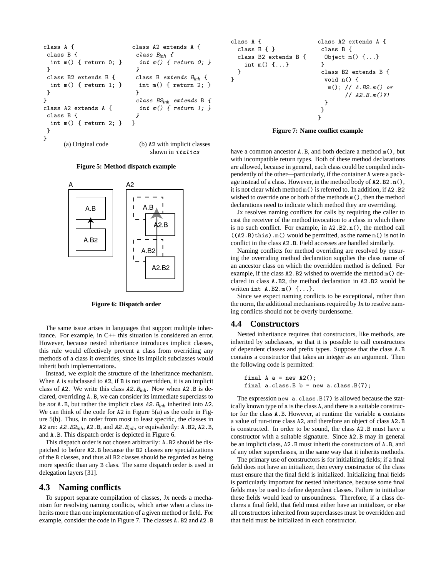```
class A {
 class B {
  int m() { return 0; }
 }
 class B2 extends B {
  int m() { return 1; }
}
}
class A2 extends A {
 class B {
  int m() { return 2; }
}
}
                           class A2 extends A {
                             class Binh {
                              int m() { return 0; }
                            }
                            class B extends Binh {
                             int m() { return 2; }
                            }
                            class B2inh extends B {
                              int m() { return 1; }
                            }
                           }
      (a) Original code (b) A2 with implicit classes
```
shown in italics

#### **Figure 5: Method dispatch example**



**Figure 6: Dispatch order**

The same issue arises in languages that support multiple inheritance. For example, in C++ this situation is considered an error. However, because nested inheritance introduces implicit classes, this rule would effectively prevent a class from overriding any methods of a class it overrides, since its implicit subclasses would inherit both implementations.

Instead, we exploit the structure of the inheritance mechanism. When A is subclassed to A2, if B is not overridden, it is an implicit class of A2. We write this class A2.B*inh*. Now when A2.B is declared, overriding A.B, we can consider its immediate superclass to be *not* A.B, but rather the implicit class A2.B*inh* inherited into A2. We can think of the code for A2 in Figure 5(a) as the code in Figure 5(b). Thus, in order from most to least specific, the classes in A2 are: A2.B2*inh*, A2.B, and A2.B*inh*, or equivalently: A.B2, A2.B, and A.B. This dispatch order is depicted in Figure 6.

This dispatch order is not chosen arbitrarily: A.B2 should be dispatched to before A2.B because the B2 classes are specializations of the B classes, and thus all B2 classes should be regarded as being more specific than any B class. The same dispatch order is used in delegation layers [31].

## **4.3 Naming conflicts**

To support separate compilation of classes, Jx needs a mechanism for resolving naming conflicts, which arise when a class inherits more than one implementation of a given method or field. For example, consider the code in Figure 7. The classes A.B2 and A2.B

```
class A {
  class B { }
  class B2 extends B {
    int m() {...}
  }
}
                           class A2 extends A {
                            class B {
                             Object m() {...}
                            }
                            class B2 extends B {
                             void n() {
                             m(); // A.B2.m() or
                                   // A2.B.m()?!
                            }
                            }
                           }
```
**Figure 7: Name conflict example**

have a common ancestor A.B, and both declare a method m(), but with incompatible return types. Both of these method declarations are allowed, because in general, each class could be compiled independently of the other—particularly, if the container A were a package instead of a class. However, in the method body of A2.B2.n(), it is not clear which method m() is referred to. In addition, if A2.B2 wished to override one or both of the methods m(), then the method declarations need to indicate which method they are overriding.

Jx resolves naming conflicts for calls by requiring the caller to cast the receiver of the method invocation to a class in which there is no such conflict. For example, in A2.B2.n(), the method call ((A2.B)this).m() would be permitted, as the name m() is not in conflict in the class A2.B. Field accesses are handled similarly.

Naming conflicts for method overriding are resolved by ensuring the overriding method declaration supplies the class name of an ancestor class on which the overridden method is defined. For example, if the class A2.B2 wished to override the method m() declared in class A.B2, the method declaration in A2.B2 would be written int  $A.B2.m() \{... \}$ .

Since we expect naming conflicts to be exceptional, rather than the norm, the additional mechanisms required by Jx to resolve naming conflicts should not be overly burdensome.

### **4.4 Constructors**

Nested inheritance requires that constructors, like methods, are inherited by subclasses, so that it is possible to call constructors of dependent classes and prefix types. Suppose that the class A.B contains a constructor that takes an integer as an argument. Then the following code is permitted:

```
final A = new A2();
final a.class.B b = new a.class.B(7);
```
The expression new a.class.B(7) is allowed because the statically known type of a is the class A, and there is a suitable constructor for the class A.B. However, at runtime the variable a contains a value of run-time class A2, and therefore an object of class A2.B is constructed. In order to be sound, the class A2.B must have a constructor with a suitable signature. Since A2.B may in general be an implicit class, A2.B must inherit the constructors of A.B, and of any other superclasses, in the same way that it inherits methods.

The primary use of constructors is for initializing fields; if a final field does not have an initializer, then every constructor of the class must ensure that the final field is initialized. Initializing final fields is particularly important for nested inheritance, because some final fields may be used to define dependent classes. Failure to initialize these fields would lead to unsoundness. Therefore, if a class declares a final field, that field must either have an initializer, or else all constructors inherited from superclasses must be overridden and that field must be initialized in each constructor.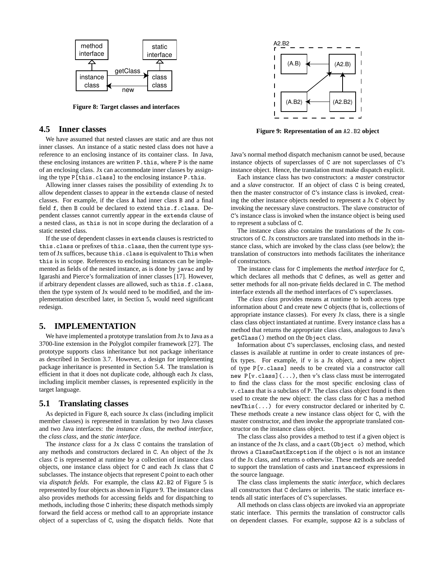

**Figure 8: Target classes and interfaces**

## **4.5 Inner classes**

We have assumed that nested classes are static and are thus not inner classes. An instance of a static nested class does not have a reference to an enclosing instance of its container class. In Java, these enclosing instances are written P.this, where P is the name of an enclosing class. Jx can accommodate inner classes by assigning the type P[this.class] to the enclosing instance P.this.

Allowing inner classes raises the possibility of extending Jx to allow dependent classes to appear in the extends clause of nested classes. For example, if the class A had inner class B and a final field f, then B could be declared to extend this.f.class. Dependent classes cannot currently appear in the extends clause of a nested class, as this is not in scope during the declaration of a static nested class.

If the use of dependent classes in extends clauses is restricted to this.class or prefixes of this.class, then the current type system of Jx suffices, because this.class is equivalent to This when this is in scope. References to enclosing instances can be implemented as fields of the nested instance, as is done by javac and by Igarashi and Pierce's formalization of inner classes [17]. However, if arbitrary dependent classes are allowed, such as this.f.class, then the type system of Jx would need to be modified, and the implementation described later, in Section 5, would need significant redesign.

## **5. IMPLEMENTATION**

We have implemented a prototype translation from Jx to Java as a 3700-line extension in the Polyglot compiler framework [27]. The prototype supports class inheritance but not package inheritance as described in Section 3.7. However, a design for implementing package inheritance is presented in Section 5.4. The translation is efficient in that it does not duplicate code, although each Jx class, including implicit member classes, is represented explicitly in the target language.

#### **5.1 Translating classes**

As depicted in Figure 8, each source Jx class (including implicit member classes) is represented in translation by two Java classes and two Java interfaces: the *instance class*, the *method interface*, the *class class*, and the *static interface*.

The *instance class* for a Jx class C contains the translation of any methods and constructors declared in C. An object of the Jx class C is represented at runtime by a collection of instance class objects, one instance class object for C and each Jx class that C subclasses. The instance objects that represent C point to each other via *dispatch fields*. For example, the class A2.B2 of Figure 5 is represented by four objects as shown in Figure 9. The instance class also provides methods for accessing fields and for dispatching to methods, including those C inherits; these dispatch methods simply forward the field access or method call to an appropriate instance object of a superclass of C, using the dispatch fields. Note that



**Figure 9: Representation of an** A2.B2 **object**

Java's normal method dispatch mechanism cannot be used, because instance objects of superclasses of C are not superclasses of C's instance object. Hence, the translation must make dispatch explicit.

Each instance class has two constructors: a *master* constructor and a *slave* constructor. If an object of class C is being created, then the master constructor of C's instance class is invoked, creating the other instance objects needed to represent a Jx C object by invoking the necessary slave constructors. The slave constructor of C's instance class is invoked when the instance object is being used to represent a subclass of C.

The instance class also contains the translations of the Jx constructors of C. Jx constructors are translated into methods in the instance class, which are invoked by the class class (see below); the translation of constructors into methods facilitates the inheritance of constructors.

The instance class for C implements the *method interface* for C, which declares all methods that C defines, as well as getter and setter methods for all non-private fields declared in C. The method interface extends all the method interfaces of C's superclasses.

The *class class* provides means at runtime to both access type information about C and create new C objects (that is, collections of appropriate instance classes). For every Jx class, there is a single class class object instantiated at runtime. Every instance class has a method that returns the appropriate class class, analogous to Java's getClass() method on the Object class.

Information about C's superclasses, enclosing class, and nested classes is available at runtime in order to create instances of prefix types. For example, if v is a Jx object, and a new object of type P[v.class] needs to be created via a constructor call new P[v.class](...), then v's class class must be interrogated to find the class class for the most specific enclosing class of v.class that is a subclass of P. The class class object found is then used to create the new object: the class class for C has a method newThis(...) for every constructor declared or inherited by C. These methods create a new instance class object for C, with the master constructor, and then invoke the appropriate translated constructor on the instance class object.

The class class also provides a method to test if a given object is an instance of the Jx class, and a cast(Object o) method, which throws a ClassCastException if the object o is not an instance of the Jx class, and returns o otherwise. These methods are needed to support the translation of casts and instanceof expressions in the source language.

The class class implements the *static interface*, which declares all constructors that C declares or inherits. The static interface extends all static interfaces of C's superclasses.

All methods on class class objects are invoked via an appropriate static interface. This permits the translation of constructor calls on dependent classes. For example, suppose A2 is a subclass of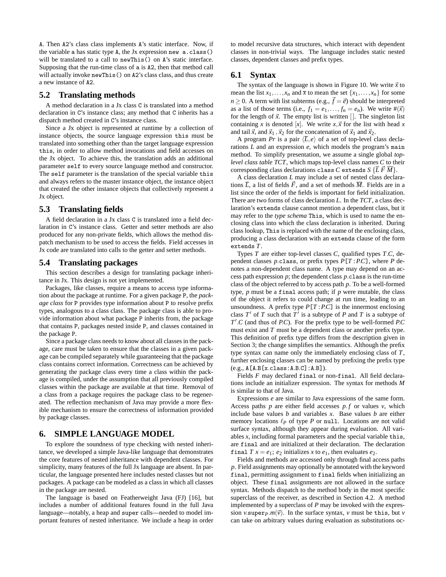A. Then A2's class class implements A's static interface. Now, if the variable a has static type A, the Jx expression new a.class() will be translated to a call to newThis() on A's static interface. Supposing that the run-time class of a is A2, then that method call will actually invoke newThis() on A2's class class, and thus create a new instance of A2.

#### **5.2 Translating methods**

A method declaration in a Jx class C is translated into a method declaration in C's instance class; any method that C inherits has a dispatch method created in C's instance class.

Since a Jx object is represented at runtime by a collection of instance objects, the source language expression this must be translated into something other than the target language expression this, in order to allow method invocations and field accesses on the Jx object. To achieve this, the translation adds an additional parameter self to every source language method and constructor. The self parameter is the translation of the special variable this and always refers to the master instance object, the instance object that created the other instance objects that collectively represent a Jx object.

## **5.3 Translating fields**

A field declaration in a Jx class C is translated into a field declaration in C's instance class. Getter and setter methods are also produced for any non-private fields, which allows the method dispatch mechanism to be used to access the fields. Field accesses in Jx code are translated into calls to the getter and setter methods.

## **5.4 Translating packages**

This section describes a design for translating package inheritance in Jx. This design is not yet implemented.

Packages, like classes, require a means to access type information about the package at runtime. For a given package P, the *package class* for P provides type information about P to resolve prefix types, analogous to a class class. The package class is able to provide information about what package P inherits from, the package that contains P, packages nested inside P, and classes contained in the package P.

Since a package class needs to know about all classes in the package, care must be taken to ensure that the classes in a given package can be compiled separately while guaranteeing that the package class contains correct information. Correctness can be achieved by generating the package class every time a class within the package is compiled, under the assumption that all previously compiled classes within the package are available at that time. Removal of a class from a package requires the package class to be regenerated. The reflection mechanism of Java may provide a more flexible mechanism to ensure the correctness of information provided by package classes.

## **6. SIMPLE LANGUAGE MODEL**

To explore the soundness of type checking with nested inheritance, we developed a simple Java-like language that demonstrates the core features of nested inheritance with dependent classes. For simplicity, many features of the full Jx language are absent. In particular, the language presented here includes nested classes but not packages. A package can be modeled as a class in which all classes in the package are nested.

The language is based on Featherweight Java (FJ) [16], but includes a number of additional features found in the full Java language—notably, a heap and super calls—needed to model important features of nested inheritance. We include a heap in order

to model recursive data structures, which interact with dependent classes in non-trivial ways. The language includes static nested classes, dependent classes and prefix types.

#### **6.1 Syntax**

The syntax of the language is shown in Figure 10. We write  $\vec{x}$  to mean the list  $x_1, \ldots, x_n$  and  $\bar{x}$  to mean the set  $\{x_1, \ldots, x_n\}$  for some *n* > 0. A term with list subterms (e.g.,  $\vec{f} = \vec{e}$ ) should be interpreted as a list of those terms (i.e.,  $f_1 = e_1, \ldots, f_n = e_n$ ). We write  $\#(\vec{x})$ for the length of  $\vec{x}$ . The empty list is written []. The singleton list containing *x* is denoted [*x*]. We write  $x, \vec{x}$  for the list with head *x* and tail  $\vec{x}$ , and  $\vec{x}_1$ ,  $\vec{x}_2$  for the concatenation of  $\vec{x}_1$  and  $\vec{x}_2$ .

A program *Pr* is a pair  $\langle \overline{L}, e \rangle$  of a set of top-level class declarations *L* and an expression *e*, which models the program's main method. To simplify presentation, we assume a single global *toplevel class table TCT*, which maps top-level class names *C* to their corresponding class declarations class *C* extends  $S \{\overline{L} \vec{F} \ \overline{M}\}.$ 

A class declaration *L* may include a set of nested class declarations  $\overline{L}$ , a list of fields  $\overline{F}$ , and a set of methods  $\overline{M}$ . Fields are in a list since the order of the fields is important for field initialization. There are two forms of class declaration *L*. In the *TCT*, a class declaration's extends clause cannot mention a dependent class, but it may refer to the *type schema* This, which is used to name the enclosing class into which the class declaration is inherited. During class lookup, This is replaced with the name of the enclosing class, producing a class declaration with an extends clause of the form extends *T*.

Types *T* are either top-level classes *C*, qualified types *T*.*C*, dependent classes *p*.class, or prefix types *P*[*T* :*P*.*C*], where *P* denotes a non-dependent class name. A type may depend on an access path expression  $p$ ; the dependent class  $p$ .class is the run-time class of the object referred to by access path *p*. To be a well-formed type, *p* must be a final access path; if *p* were mutable, the class of the object it refers to could change at run time, leading to an unsoundness. A prefix type  $P[T : P.C]$  is the innermost enclosing class  $T'$  of  $T$  such that  $T'$  is a subtype of  $P$  and  $T$  is a subtype of  $T'$ .*C* (and thus of *P.C*). For the prefix type to be well-formed *P.C* must exist and *T* must be a dependent class or another prefix type. This definition of prefix type differs from the description given in Section 3; the change simplifies the semantics. Although the prefix type syntax can name only the immediately enclosing class of *T*, further enclosing classes can be named by prefixing the prefix type (e.g., A[A.B[x.class:A.B.C]:A.B]).

Fields *F* may declared final or non-final. All field declarations include an initializer expression. The syntax for methods *M* is similar to that of Java.

Expressions *e* are similar to Java expressions of the same form. Access paths  $p$  are either field accesses  $p.f$  or values  $v$ , which include base values *b* and variables *x*. Base values *b* are either memory locations  $\ell_P$  of type *P* or null. Locations are not valid surface syntax, although they appear during evaluation. All variables *x*, including formal parameters and the special variable this, are final and are initialized at their declaration. The declaration final *T*  $x = e_1$ ;  $e_2$  initializes *x* to  $e_1$ , then evaluates  $e_2$ .

Fields and methods are accessed only through final access paths *p*. Field assignments may optionally be annotated with the keyword final, permitting assignment to final fields when initializing an object. These final assignments are not allowed in the surface syntax. Methods dispatch to the method body in the most specific superclass of the receiver, as described in Section 4.2. A method implemented by a superclass of *P* may be invoked with the expression *v*.super*p.m*( $\vec{v}$ ). In the surface syntax, *v* must be this, but *v* can take on arbitrary values during evaluation as substitutions oc-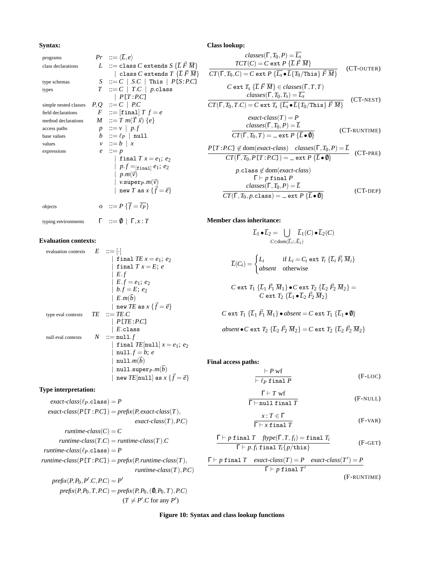### **Syntax:**

| programs                                     | $Pr$ ::= $\langle L, e \rangle$                                         |
|----------------------------------------------|-------------------------------------------------------------------------|
| class declarations                           | L ::= class C extends $S\ \{\overline{L}\ \overline{F}\ \overline{M}\}$ |
|                                              | class $C$ extends $T\;\{\overline{L}\;\vec{F}\;\overline{M}\}$          |
| type schemas                                 | $S ::= C   S.C   This   P[S:P.C]$                                       |
| types                                        | $T$ := $C$   $T.C$   $p$ .class                                         |
|                                              | [ P[T:P.C]                                                              |
| simple nested classes $P, Q$ ::= $C$   $P.C$ |                                                                         |
| field declarations                           | $F$ := [final] $T f = e$                                                |
| method declarations                          | $M$ ::= $T m(\vec{T} \vec{x}) \{e\}$                                    |
| access paths                                 | $p ::= v   p.f$                                                         |
| base values                                  | $b$ ::= $\ell_P$   null                                                 |
| values                                       | $v ::= b   x$                                                           |
| expressions                                  | $e$ : $p$                                                               |
|                                              | final $T x = e_1$ ; $e_2$                                               |
|                                              | $p.f =_{[final]} e_1; e_2$                                              |
|                                              | p.m( $\vec{v}$ )                                                        |
|                                              | $v.\texttt{superp.m}(\vec{v})$                                          |
|                                              | new T as $x \{ \vec{f} = \vec{e} \}$                                    |
| objects                                      | $\rho$ : $= P \{ \overline{f} = \overline{\ell_P} \}$                   |
|                                              |                                                                         |
| typing environments                          | $\Gamma$ ::= 0   $\Gamma, x : T$                                        |
|                                              |                                                                         |

## **Evaluation contexts:**

**Type interpretation:**

 $\text{exact-class}(\ell_P.\text{class}) = P$ 

 $$ 

 $r$ *untime-class* $(C) = C$ 

| evaluation contexts | $E$ : $=$ $\cdot$                           |
|---------------------|---------------------------------------------|
|                     | final $TE x = e_1$ ; $e_2$                  |
|                     | final $T x = E$ ; e                         |
|                     | E.f                                         |
|                     | $E.f = e_1; e_2$                            |
|                     | b.f = E; e2                                 |
|                     | $E.m(\vec{b})$                              |
|                     | new TE as $x \{ \vec{f} = \vec{e} \}$       |
| type eval contexts  | $TE$ := TE.C                                |
|                     | $ $ $P[TE:PC]$                              |
|                     | $E$ .class                                  |
| null eval contexts  | $N$ ::= null.f                              |
|                     | final TE null $x = e_1$ ; $e_2$             |
|                     | null. $f = b$ ; e                           |
|                     | $null.m(\vec{b})$                           |
|                     | null.supportp.m(b)                          |
|                     | new TE[null] as $x \{ \vec{f} = \vec{e} \}$ |

#### **Class lookup:**

$$
classes(\Gamma, T_0, P) = \overline{L_s}
$$
  
\n
$$
\overline{C}\overline{T}(C) = C \text{ ext } P \{\overline{L} \overline{F} \overline{M}\}
$$
  
\n
$$
\overline{CT}(\Gamma, T_0, C) = C \text{ ext } P \{\overline{L_s} \bullet \overline{L} \{T_0 / \text{This}\} \overline{F} \overline{M}\}
$$
 (CT-OUTER)  
\n
$$
C \text{ ext } T_s \{\overline{L} \overline{F} \overline{M}\} \in classes(\Gamma, T, T)
$$
  
\n
$$
classes(\Gamma, T_0, T_s) = \overline{L_s}
$$
 (CT-UTER)

$$
\overline{CT(\Gamma, T_0, T.C)} = C \text{ ext } T_s \left\{ \overline{L_s} \bullet \overline{L} \left\{ T_0 / \text{This} \right\} \vec{F} \ \overline{M} \right\} \quad \text{(CT-NEST)}
$$

$$
exact-class(T) = P
$$
  
\n
$$
classes(\Gamma, T_0, P) = \overline{L}
$$
  
\n
$$
\overline{CT(\Gamma, T_0, T)} = -ext P {\overline{L \bullet \emptyset}}
$$
 (CT-RUNTIME)

$$
\frac{P[T:PC] \notin \text{dom}(\text{exact-class}) \quad \text{classes}(\Gamma, T_0, P) = \overline{L}}{CT(\Gamma, T_0, P[T:PC]) = \text{= ext } P \{\overline{L} \bullet \emptyset\}} \quad \text{(CT-PRE)}
$$

$$
p.class \notin \text{dom}(\text{exact-class})
$$
  
\n
$$
\Gamma \vdash p \text{ final } P
$$
  
\n
$$
\text{classes}(\Gamma, T_0, P) = \overline{L}
$$
  
\n
$$
\overline{CT(\Gamma, T_0, p.class)} = \_ \text{ext } P \{\overline{L} \bullet \emptyset\}
$$
\n
$$
(CT-DEP)
$$

#### **Member class inheritance:**

$$
\overline{L}_1 \bullet \overline{L}_2 = \bigcup_{C \in \text{dom}(\overline{L}_1 \cup \overline{L}_2)} \overline{L}_1(C) \bullet \overline{L}_2(C)
$$

$$
\overline{L}(C_i) = \begin{cases} L_i & \text{if } L_i = C_i \text{ ext } T_i \ \{\overline{L}_i \ \overline{F}_i \ \overline{M}_i\} \\ absent & \text{otherwise} \end{cases}
$$

$$
C \text{ ext } T_1 \,\,\{\overline{L}_1 \,\,\overline{F}_1 \,\,\overline{M}_1\} \bullet C \text{ ext } T_2 \,\,\{\overline{L}_2 \,\,\overline{F}_2 \,\,\overline{M}_2\} = \\ C \text{ ext } T_2 \,\,\{\overline{L}_1 \bullet \overline{L}_2 \,\,\overline{F}_2 \,\,\overline{M}_2\}
$$

 $C$  ext  $T_1$   $\{\overline{L}_1 \ \overline{F}_1 \ \overline{M}_1\} \bullet absorb$  *absent* =  $C$  ext  $T_1$   $\{\overline{L}_1 \bullet \emptyset\}$ 

$$
absent \bullet C \text{ ext } T_2 \, \{\overline{L}_2 \, \overline{F}_2 \, \overline{M}_2\} = C \text{ ext } T_2 \, \{\overline{L}_2 \, \overline{F}_2 \, \overline{M}_2\}
$$

#### **Final access paths:**

$$
\frac{\vdash P \text{ wf}}{\vdash \ell_P \text{ final } P} \tag{F-LOC}
$$

$$
\frac{\Gamma \vdash T \text{ wf}}{\Gamma \vdash \text{null final } T}
$$
 (F-NULL)

$$
x: T \in \Gamma
$$
  
\n
$$
\Gamma \vdash x \text{ final } T
$$
 (F-VAR)

$$
\frac{\Gamma \vdash p \text{ final } T \quad \text{ftype}(\Gamma, T, f_i) = \text{final } T_i}{\Gamma \vdash p.f_i \text{ final } T_i \{p/\text{this}\}} \tag{F-GET}
$$

$$
\Gamma \vdash p \text{ final } T \quad exact\text{-}class(T) = P \quad exact\text{-}class(T') = P
$$
\n
$$
\Gamma \vdash p \text{ final } T'
$$
\n(F-RUNTIME)

$$
prefix(P, P_0, P', C, P.C) = P'
$$
  

$$
prefix(P, P_0, T, P.C) = prefix(P, P_0, (0, P_0, T), P.C)
$$
  

$$
(T \neq P'.C \text{ for any } P')
$$

 $\text{exact-class}(P[T : P.C]) = \text{prefix}(P, \text{exact-class}(T),$ 

 $r$ *untime-* $class(T.C) = runtime-class(T.C)$ 

 $r$ *untime*- $class(P[T : P.C])$  =  $prefix(P, runtime-class(T),$ 

 $\text{exact-class}(T), P.C)$ 

*runtime*-*class*(*T*),*P*.*C*)

$$
(1^{1-\epsilon})
$$

#### **Figure 10: Syntax and class lookup functions**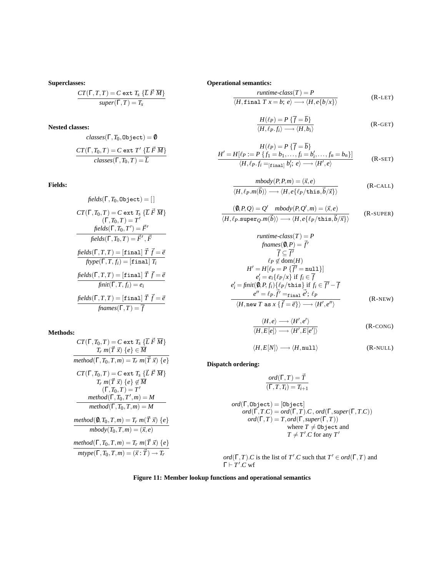## **Superclasses:**

$$
\frac{CT(\Gamma, T, T) = C \text{ ext } T_s \{\overline{L} \ \overline{F} \ \overline{M}\}}{\text{super}(\Gamma, T) = T_s}
$$

**Nested classes:**

$$
\mathit{classes}(\Gamma,T_0,\mathtt{Object})=\emptyset
$$

$$
\frac{CT(\Gamma,T_0,T)=C \text{ ext } T' \{\overline{L} \ \overline{F} \ \overline{M}\}}{classes(\Gamma,T_0,T)=\overline{L}}
$$

**Fields:**

$$
fields(\Gamma, T_0, \text{Object}) = []
$$
\n
$$
CT(\Gamma, T_0, T) = C \text{ ext } T_s \{ \overline{L} \overline{F} \ \overline{M} \}
$$
\n
$$
(T, T_0, T) = T'
$$
\n
$$
fields(\Gamma, T_0, T') = \overline{F'}
$$
\n
$$
fields(\Gamma, T_0, T) = \overline{F'}, \overline{F}
$$
\n
$$
fields(\Gamma, T, T) = [\text{final}] \ \overline{T} \ \overline{f} = \overline{e}
$$
\n
$$
ftype(\Gamma, T, f_i) = [\text{final}] \ \overline{T} \ \overline{f} = \overline{e}
$$
\n
$$
find(\Gamma, T, f_i) = e_i
$$
\n
$$
fields(\Gamma, T, T) = [\text{final}] \ \overline{T} \ \overline{f} = \overline{e}
$$
\n
$$
find(\Gamma, T, T) = [\text{final}] \ \overline{T} \ \overline{f} = \overline{e}
$$
\n
$$
frames(\Gamma, T) = \overline{f}
$$

## **Methods:**

$$
CT(\Gamma, T_0, T) = C \text{ ext } T_s \{\overline{L} \overline{F} \ \overline{M}\}
$$
  
\n
$$
T_r m(\overline{T} \ \overline{x}) \{e\} \in \overline{M}
$$
  
\nmethod $(\Gamma, T_0, T, m) = T_r m(\overline{T} \ \overline{x}) \{e\}$   
\n
$$
CT(\Gamma, T_0, T) = C \text{ ext } T_s \{\overline{L} \overline{F} \ \overline{M}\}
$$
  
\n
$$
T_r m(\overline{T} \ \overline{x}) \{e\} \notin \overline{M}
$$
  
\n
$$
(\Gamma, T_0, T) = T'
$$
  
\nmethod $(\Gamma, T_0, T', m) = M$   
\nmethod $(\Gamma, T_0, T, m) = M$   
\nmethod $(0, T_0, T, m) = T_r m(\overline{T} \ \overline{x}) \{e\}$   
\nmethod $(0, T_0, T, m) = (T, e)$   
\nmethod $(\Gamma, T_0, T, m) = T_r m(\overline{T} \ \overline{x}) \{e\}$   
\nmethod $(\Gamma, T_0, T, m) = T_r m(\overline{T} \ \overline{x}) \{e\}$   
\nmethod $(\Gamma, T_0, T, m) = (\overline{x} \ \overline{x}) \rightarrow T_r$ 

## **Operational semantics:**

 *runtime-class*(*T*) = *P*  
\n
$$
\langle H, \text{final } T \ x = b; e \rangle \longrightarrow \langle H, e\{b/x\} \rangle
$$
\n(R-LET)

$$
\frac{H(\ell_P) = P\{\overline{f} = \overline{b}\}}{\langle H, \ell_P, f_i \rangle \longrightarrow \langle H, b_i \rangle}
$$
 (R-GET)

$$
H(\ell_P) = P\{\overline{f} = \overline{b}\}
$$
  
\n
$$
H' = H[\ell_P := P\{f_1 = b_1, \dots, f_i = b'_i, \dots, f_n = b_n\}]
$$
  
\n
$$
\langle H, \ell_P. f_i = [\text{final}] \ b'_i; e \rangle \longrightarrow \langle H', e \rangle
$$
 (R-SET)

$$
\frac{mbody(P, P, m) = (\vec{x}, e)}{\langle H, \ell_P.m(\vec{b}) \rangle \longrightarrow \langle H, e\{\ell_P/\text{this}, \vec{b}/\vec{x}\} \rangle}
$$
 (R-cALL)

$$
\frac{(0, P, Q) = Q' \quad \text{mbody}(P, Q', m) = (\vec{x}, e)}{\langle H, \ell_P. \text{super}_{Q}.m(\vec{b}) \rangle \longrightarrow \langle H, e\{\ell_P/\text{this}, \vec{b}/\vec{x}\}\rangle}
$$
 (R-SUPER)

 *runtime-class*(*T*) = *P*  
\n*frames*(0, *P*) = 
$$
\vec{f}'
$$
  
\n $\vec{f} \subseteq \vec{f}'$   
\n $\ell_P \notin \text{dom}(H)$   
\n $H' = H[\ell_P = P \{\vec{f}' = \text{null}\}]$   
\n $e'_i = e_i \{\ell_P / x\} \text{ if } f_i \in \vec{f}$   
\n $e'_i = \text{finit}(0, P, f_i) \{\ell_P / \text{this}\} \text{ if } f_i \in \vec{f}' - \vec{f}$   
\n $e'' = \ell_P . \vec{f}' = \text{final } \vec{e'}; \ell_P$   
\n $\langle H, \text{new } T \text{ as } x \{\vec{f} = \vec{e}\} \rangle \longrightarrow \langle H', e'' \rangle$  (R-NEW)

$$
\frac{\langle H, e \rangle \longrightarrow \langle H', e' \rangle}{\langle H, E[e] \rangle \longrightarrow \langle H', E[e'] \rangle} \tag{R-CONG}
$$

$$
\langle H, E[N] \rangle \longrightarrow \langle H, \text{null} \rangle \tag{R-NULL}
$$

## **Dispatch ordering:**

$$
\frac{ord(\Gamma, T) = \vec{T}}{(\Gamma, T, T_i) = T_{i+1}}
$$

$$
ord(\Gamma, \text{Object}) = [\text{Object}]
$$
  
\n
$$
ord(\Gamma, T.C) = ord(\Gamma, T).C, ord(\Gamma, super(\Gamma, T.C))
$$
  
\n
$$
ord(\Gamma, T) = T, ord(\Gamma, super(\Gamma, T))
$$
  
\nwhere  $T \neq 0$  bject and  
\n $T \neq T'.C$  for any  $T'$ 

 $ord(\Gamma, T)$ .*C* is the list of *T'*.*C* such that  $T' \in ord(\Gamma, T)$  and  $\Gamma \vdash T'.C$  wf

## **Figure 11: Member lookup functions and operational semantics**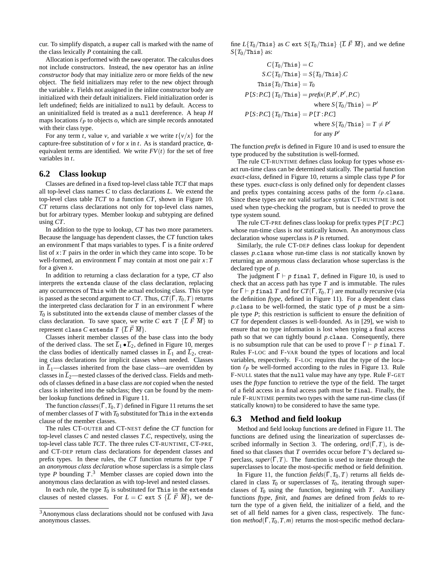cur. To simplify dispatch, a super call is marked with the name of the class lexically *P* containing the call.

Allocation is performed with the new operator. The calculus does not include constructors. Instead, the new operator has an *inline constructor body* that may initialize zero or more fields of the new object. The field initializers may refer to the new object through the variable *x*. Fields not assigned in the inline constructor body are initialized with their default initializers. Field initialization order is left undefined; fields are initialized to null by default. Access to an uninitialized field is treated as a null dereference. A heap *H* maps locations  $\ell_P$  to objects  $\sigma$ , which are simple records annotated with their class type.

For any term *t*, value *v*, and variable *x* we write  $t\{v/x\}$  for the capture-free substitution of  $\nu$  for  $x$  in  $t$ . As is standard practice,  $\alpha$ equivalent terms are identified. We write  $FV(t)$  for the set of free variables in *t*.

## **6.2 Class lookup**

Classes are defined in a fixed top-level class table *TCT* that maps all top-level class names *C* to class declarations *L*. We extend the top-level class table *TCT* to a function *CT*, shown in Figure 10. *CT* returns class declarations not only for top-level class names, but for arbitrary types. Member lookup and subtyping are defined using *CT*.

In addition to the type to lookup, *CT* has two more parameters. Because the language has dependent classes, the *CT* function takes an environment Γ that maps variables to types. Γ is a finite *ordered* list of  $x: T$  pairs in the order in which they came into scope. To be well-formed, an environment Γ may contain at most one pair *x* :*T* for a given *x*.

In addition to returning a class declaration for a type, *CT* also interprets the extends clause of the class declaration, replacing any occurrences of This with the actual enclosing class. This type is passed as the second argument to *CT*. Thus,  $CT(\Gamma, T_0, T)$  returns the interpreted class declaration for *T* in an environment  $Γ$  where  $T_0$  is substituted into the extends clause of member classes of the class declaration. To save space, we write *C* ext *T*  $\{\overline{L} \ \overline{F} \ \overline{M}\}\$  to represent class *C* extends  $T \{ \overline{L} \vec{F} \, \overline{M} \}$ .

Classes inherit member classes of the base class into the body of the derived class. The set  $\overline{L}_1 \bullet \overline{L}_2$ , defined in Figure 10, merges the class bodies of identically named classes in  $\overline{L}_1$  and  $\overline{L}_2$ , creating class declarations for implicit classes when needed. Classes in  $\overline{L}_1$ —classes inherited from the base class—are overridden by classes in  $\overline{L}_2$ —nested classes of the derived class. Fields and methods of classes defined in a base class are *not* copied when the nested class is inherited into the subclass; they can be found by the member lookup functions defined in Figure 11.

The function  $classes(\Gamma, T_0, T)$  defined in Figure 11 returns the set of member classes of  $T$  with  $T_0$  substituted for This in the extends clause of the member classes.

The rules CT-OUTER and CT-NEST define the *CT* function for top-level classes *C* and nested classes *T*.*C*, respectively, using the top-level class table *TCT*. The three rules CT-RUNTIME, CT-PRE, and CT-DEP return class declarations for dependent classes and prefix types. In these rules, the *CT* function returns for type *T* an *anonymous class declaration* whose superclass is a simple class type  $P$  bounding  $T$ .<sup>3</sup> Member classes are copied down into the anonymous class declaration as with top-level and nested classes.

In each rule, the type  $T_0$  is substituted for This in the extends clauses of nested classes. For  $L = C$  ext  $S \{\overline{L} \ \overline{F} \ \overline{M}\}$ , we define  $L\{T_0/\text{This}\}\$  as *C* ext  $S\{T_0/\text{This}\}\{\overline{L}\ \overline{F}\ \overline{M}\}\$ , and we define  $S\{T_0/\text{This}\}\$ as:

$$
C\{T_0/\text{This}\} = C
$$
  
\n
$$
S.C\{T_0/\text{This}\} = S\{T_0/\text{This}\}.C
$$
  
\n
$$
\text{This}\{T_0/\text{This}\} = T_0
$$
  
\n
$$
P[S:PC]\{T_0/\text{This}\} = prefix(P, P', P', PC)
$$
  
\n
$$
\text{where } S\{T_0/\text{This}\} = P'
$$
  
\n
$$
P[S:PC]\{T_0/\text{This}\} = P[T:PC]
$$
  
\n
$$
\text{where } S\{T_0/\text{This}\} = T \neq P'
$$
  
\nfor any P'

The function *prefix* is defined in Figure 10 and is used to ensure the type produced by the substitution is well-formed.

The rule CT-RUNTIME defines class lookup for types whose exact run-time class can be determined statically. The partial function *exact*-*class*, defined in Figure 10, returns a simple class type *P* for these types. *exact*-*class* is only defined only for dependent classes and prefix types containing access paths of the form  $\ell_P$ .class. Since these types are not valid surface syntax CT-RUNTIME is not used when type-checking the program, but is needed to prove the type system sound.

The rule CT-PRE defines class lookup for prefix types *P*[*T* :*P*.*C*] whose run-time class is *not* statically known. An anonymous class declaration whose superclass is *P* is returned.

Similarly, the rule CT-DEP defines class lookup for dependent classes *p*.class whose run-time class is *not* statically known by returning an anonymous class declaration whose superclass is the declared type of *p*.

The judgment  $\Gamma \vdash p$  final *T*, defined in Figure 10, is used to check that an access path has type *T* and is immutable. The rules for  $\Gamma \vdash p$  final *T* and for  $CT(\Gamma, T_0, T)$  are mutually recursive (via the definition *ftype*, defined in Figure 11). For a dependent class *p*.class to be well-formed, the static type of *p* must be a simple type *P*; this restriction is sufficient to ensure the definition of *CT* for dependent classes is well-founded. As in [29], we wish to ensure that no type information is lost when typing a final access path so that we can tightly bound *p*.class. Consequently, there is no subsumption rule that can be used to prove  $\Gamma \vdash p$  final *T*. Rules F-LOC and F-VAR bound the types of locations and local variables, respectively. F-LOC requires that the type of the location  $\ell_P$  be well-formed according to the rules in Figure 13. Rule F-NULL states that the null value may have any type. Rule F-GET uses the *ftype* function to retrieve the type of the field. The target of a field access in a final access path must be final. Finally, the rule F-RUNTIME permits two types with the same run-time class (if statically known) to be considered to have the same type.

#### **6.3 Method and field lookup**

Method and field lookup functions are defined in Figure 11. The functions are defined using the linearization of superclasses described informally in Section 3. The ordering, *ord*(Γ,*T*), is defined so that classes that *T* overrides occur before *T*'s declared superclass, *super*( $\Gamma$ , $T$ ). The function is used to iterate through the superclasses to locate the most-specific method or field definition.

In Figure 11, the function  $\text{fields}(\Gamma, T_0, T)$  returns all fields declared in class  $T_0$  or superclasses of  $T_0$ , iterating through superclasses of  $T_0$  using the function, beginning with  $T$ . Auxiliary functions *ftype*, *finit*, and *fnames* are defined from *fields* to return the type of a given field, the initializer of a field, and the set of all field names for a given class, respectively. The function *method*( $\Gamma$ ,  $T_0$ ,  $T$ ,  $m$ ) returns the most-specific method declara-

<sup>3</sup>Anonymous class declarations should not be confused with Java anonymous classes.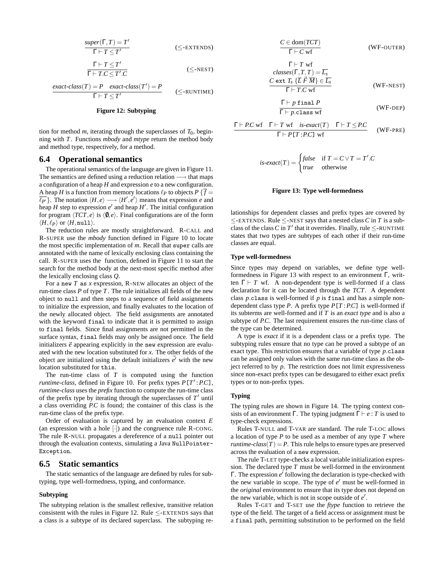$$
super(\Gamma, T) = T'
$$
  
\n
$$
\Gamma \vdash T \leq T'
$$
 ( $\leq$ -EXTENDS)

$$
\frac{\Gamma \vdash T \leq T'}{\Gamma \vdash T.C \leq T'.C}
$$
 (≤-NEST)

$$
\frac{exact\text{-}class(T) = P \quad exact\text{-}class(T') = P}{\Gamma \vdash T \leq T'} \qquad (\leq\text{-RUNTIME})
$$

#### **Figure 12: Subtyping**

tion for method  $m$ , iterating through the superclasses of  $T_0$ , beginning with *T*. Functions *mbody* and *mtype* return the method body and method type, respectively, for a method.

### **6.4 Operational semantics**

The operational semantics of the language are given in Figure 11. The semantics are defined using a reduction relation  $\longrightarrow$  that maps a configuration of a heap *H* and expression *e* to a new configuration. A heap *H* is a function from memory locations  $\ell_P$  to objects  $P \{ \overline{f} =$  $\overline{\ell_{P'}}$ . The notation  $\langle H, e \rangle \longrightarrow \langle H', e' \rangle$  means that expression *e* and heap  $H$  step to expression  $e'$  and heap  $H'$ . The initial configuration for program  $\langle TCT, e \rangle$  is  $\langle \emptyset, e \rangle$ . Final configurations are of the form  $\langle H, \ell_P \rangle$  or  $\langle H, \text{null} \rangle$ .

The reduction rules are mostly straightforward. R-CALL and R-SUPER use the *mbody* function defined in Figure 10 to locate the most specific implementation of *m*. Recall that super calls are annotated with the name of lexically enclosing class containing the call. R-SUPER uses the function, defined in Figure 11 to start the search for the method body at the next-most specific method after the lexically enclosing class *Q*.

For a new *T* as *x* expression, R-NEW allocates an object of the run-time class *P* of type *T*. The rule initializes all fields of the new object to null and then steps to a sequence of field assignments to initialize the expression, and finally evaluates to the location of the newly allocated object. The field assignments are annotated with the keyword final to indicate that it is permitted to assign to final fields. Since final assignments are not permitted in the surface syntax, final fields may only be assigned once. The field initializers  $\vec{e}$  appearing explicitly in the new expression are evaluated with the new location substituted for *x*. The other fields of the object are initialized using the default initializers  $\vec{e'}$  with the new location substituted for this.

The run-time class of *T* is computed using the function *runtime*-*class*, defined in Figure 10. For prefix types *P*[*T* 0 :*P*.*C*], *runtime*-*class* uses the *prefix* function to compute the run-time class of the prefix type by iterating through the superclasses of  $T'$  until a class overriding *P*.*C* is found; the container of this class is the run-time class of the prefix type.

Order of evaluation is captured by an evaluation context *E* (an expression with a hole  $[\cdot]$ ) and the congruence rule R-CONG. The rule R-NULL propagates a dereference of a null pointer out through the evaluation contexts, simulating a Java NullPointer-Exception.

### **6.5 Static semantics**

The static semantics of the language are defined by rules for subtyping, type well-formedness, typing, and conformance.

#### **Subtyping**

The subtyping relation is the smallest reflexive, transitive relation consistent with the rules in Figure 12. Rule  $\leq$ -EXTENDS says that a class is a subtype of its declared superclass. The subtyping re-

$$
\frac{C \in \text{dom}(TCT)}{\Gamma \vdash C \text{ wf}} \qquad (\text{WF-OUTER})
$$

$$
\Gamma \vdash T \text{ wf}
$$
\n
$$
classes(\Gamma, T, T) = \overline{L_s}
$$
\n
$$
\underline{C \text{ ext } T_s \{\overline{L} \ \overline{F} \ \overline{M}\} \in \overline{L_s}}
$$
\n
$$
\Gamma \vdash T.C \text{ wf}
$$
\n(WF-NEST)

 $Γ ⊢ p$  final *P*  $\sqrt{\Gamma + p_{\text{c}}$  class wf (WF-DEP)

$$
\frac{\Gamma \vdash P.C \text{ wf} \quad \Gamma \vdash T \text{ wf} \quad \text{is-exact}(T) \quad \Gamma \vdash T \leq P.C}{\Gamma \vdash P[T:P.C] \text{ wf}} \quad (\text{WF-PRE})
$$

$$
is\text{-}exact(T) = \begin{cases} false & \text{if } T = C \vee T = T'.C\\ true & \text{otherwise} \end{cases}
$$

#### **Figure 13: Type well-formedness**

lationships for dependent classes and prefix types are covered by  $\leq$ -EXTENDS. Rule  $\leq$ -NEST says that a nested class *C* in *T* is a subclass of the class C in  $T'$  that it overrides. Finally, rule  $\leq$ -RUNTIME states that two types are subtypes of each other if their run-time classes are equal.

#### **Type well-formedness**

Since types may depend on variables, we define type wellformedness in Figure 13 with respect to an environment Γ, written  $\Gamma \vdash T$  wf. A non-dependent type is well-formed if a class declaration for it can be located through the *TCT*. A dependent class *p*.class is well-formed if *p* is final and has a simple nondependent class type *P*. A prefix type  $P[T : P.C]$  is well-formed if its subterms are well-formed and if *T* is an *exact type* and is also a subtype of *P*.*C*. The last requirement ensures the run-time class of the type can be determined.

A type is *exact* if it is a dependent class or a prefix type. The subtyping rules ensure that no type can be proved a subtype of an exact type. This restriction ensures that a variable of type *p*.class can be assigned only values with the same run-time class as the object referred to by *p*. The restriction does not limit expressiveness since non-exact prefix types can be desugared to either exact prefix types or to non-prefix types.

#### **Typing**

The typing rules are shown in Figure 14. The typing context consists of an environment Γ. The typing judgment  $\Gamma \vdash e : T$  is used to type-check expressions.

Rules T-NULL and T-VAR are standard. The rule T-LOC allows a location of type *P* to be used as a member of any type *T* where *runtime-class* $(T) = P$ . This rule helps to ensure types are preserved across the evaluation of a new expression.

The rule T-LET type-checks a local variable initialization expression. The declared type *T* must be well-formed in the environment Γ. The expression e' following the declaration is type-checked with the new variable in scope. The type of  $e'$  must be well-formed in the *original* environment to ensure that its type does not depend on the new variable, which is not in scope outside of  $e'$ .

Rules T-GET and T-SET use the *ftype* function to retrieve the type of the field. The target of a field access or assignment must be a final path, permitting substitution to be performed on the field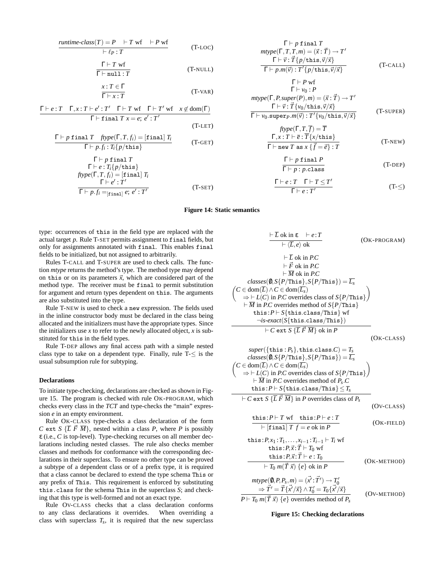*runtime-class*(
$$
T
$$
) =  $P$  +  $T$  wf +  $P$  wf  
+  $\ell_P$  :  $T$  (T-LOC)

$$
\frac{\Gamma \vdash T \text{ wf}}{\Gamma \vdash \text{null}: T}
$$
 (T-NULL)

$$
\frac{x: T \in \Gamma}{\Gamma \vdash x: T} \tag{T-VAR}
$$

$$
\frac{\Gamma \vdash e : T \quad \Gamma, x : T \vdash e' : T' \quad \Gamma \vdash T \text{ wf} \quad \Gamma \vdash T' \text{ wf} \quad x \notin \text{dom}(\Gamma)}{\Gamma \vdash \text{final } T \ x = e; \ e' : T'}
$$
\n(T-LET)

$$
\frac{\Gamma \vdash p \text{ final } T \quad \text{ftype}(\Gamma, T, f_i) = [\text{final}] \ T_i}{\Gamma \vdash p \cdot f_i : T_i\{p/\text{this}\}}
$$
\n(T-GET)

$$
\Gamma \vdash p \text{ final } T
$$
\n
$$
\Gamma \vdash e : T_i\{p/\text{this}\}
$$
\n
$$
ftype(\Gamma, T, f_i) = [\text{final}] T_i
$$
\n
$$
\frac{\Gamma \vdash e' : T'}{\Gamma \vdash p . f_i = [\text{final}] e; e' : T'}
$$
\n(T-SET)

#### $Γ ⊢ p$  final *T*  $mtype(\Gamma, T, T, m) = (\vec{x} : \vec{T}) \rightarrow T'$  $\Gamma \vdash \vec{v} : \vec{T} \{p/\texttt{this}, \vec{v}/\vec{x}\}$  $\Gamma \vdash p.m(\vec{v}) : T'\{p/\texttt{this},\vec{v}/\vec{x}\}$ (T-CALL)

$$
\Gamma \vdash P \text{ wf}\Gamma \vdash v_0 : Pmtype(\Gamma, P, super(P), m) = (\vec{x} : \vec{T}) \rightarrow T'\Gamma \vdash \vec{v} : \vec{T} \{v_0/\text{this}, \vec{v}/\vec{x}\}\Gamma \vdash v_0.\text{super}_{P}.m(\vec{v}) : T'\{v_0/\text{this}, \vec{v}/\vec{x}\}
$$
(T-SUPER)

$$
ftype(\Gamma, T, \overline{f}) = \overline{T}
$$
  
\n
$$
\Gamma, x : T \vdash \overline{e} : \overline{T} \{x/\text{this}\}
$$
  
\n
$$
\Gamma \vdash \text{new } T \text{ as } x \{ \overline{f} = \overline{e} \} : T
$$
 (T-NEW)

$$
\frac{\Gamma \vdash p \text{ final } P}{\Gamma \vdash p : p \text{.class}} \tag{T-DEP}
$$

$$
\frac{\Gamma \vdash e : T \quad \Gamma \vdash T \le T'}{\Gamma \vdash e : T'}
$$
\n
$$
(T-\le)
$$

#### **Figure 14: Static semantics**

 $\sqrt{2}$ 

type: occurrences of this in the field type are replaced with the actual target *p*. Rule T-SET permits assignment to final fields, but only for assignments annotated with final. This enables final fields to be initialized, but not assigned to arbitrarily.

Rules T-CALL and T-SUPER are used to check calls. The function *mtype* returns the method's type. The method type may depend on this or on its parameters  $\vec{x}$ , which are considered part of the method type. The receiver must be final to permit substitution for argument and return types dependent on this. The arguments are also substituted into the type.

Rule T-NEW is used to check a new expression. The fields used in the inline constructor body must be declared in the class being allocated and the initializers must have the appropriate types. Since the initializers use  $x$  to refer to the newly allocated object,  $x$  is substituted for this in the field types.

Rule T-DEP allows any final access path with a simple nested class type to take on a dependent type. Finally, rule  $T \leq$  is the usual subsumption rule for subtyping.

#### **Declarations**

To initiate type-checking, declarations are checked as shown in Figure 15. The program is checked with rule OK-PROGRAM, which checks every class in the *TCT* and type-checks the "main" expression *e* in an empty environment.

Rule OK-CLASS type-checks a class declaration of the form *C* ext *S*  $\{\overline{L} \ \overline{F} \ \overline{M}\}$ , nested within a class *P*, where *P* is possibly ε (i.e., *C* is top-level). Type-checking recurses on all member declarations including nested classes. The rule also checks member classes and methods for conformance with the corresponding declarations in their superclass. To ensure no other type can be proved a subtype of a dependent class or of a prefix type, it is required that a class cannot be declared to extend the type schema This or any prefix of This. This requirement is enforced by substituting this.class for the schema This in the superclass *S*; and checking that this type is well-formed and not an exact type.

Rule OV-CLASS checks that a class declaration conforms to any class declarations it overrides. When overriding a class with superclass  $T_s$ , it is required that the new superclass

$$
\frac{\vdash \overline{L} \text{ ok in } \varepsilon \quad \vdash e : T}{\vdash \langle \overline{L}, e \rangle \text{ ok}} \qquad \qquad \text{(OK-PROGRAM)}
$$
\n
$$
\vdash \overline{L} \text{ ok in } P.C
$$
\n
$$
\vdash \overline{F} \text{ ok in } P.C
$$
\n
$$
\vdash \overline{M} \text{ ok in } P.C
$$
\n
$$
\text{classes}(0, S\{P/\text{This}\}, S\{P/\text{This}\}) = \overline{L_s}
$$
\n
$$
C \in \text{dom}(\overline{L}) \land C \in \text{dom}(\overline{L_s})
$$
\n
$$
\Rightarrow \vdash L(C) \text{ in } P.C \text{ overrides class of } S\{P/\text{This}\}
$$
\n
$$
\vdash \overline{M} \text{ in } P.C \text{ overrides method of } S\{P/\text{This}\}
$$
\n
$$
\text{this}: P \vdash S\{\text{this.class}/\text{This}\} \text{ of}
$$
\n
$$
\neg \text{is-exact}(S\{\text{this.class}/\text{This}\})
$$
\n
$$
\vdash C \text{ext } S\{\overline{L} \overline{F} \overline{M}\} \text{ ok in } P \qquad \qquad \text{(OK-CLASS)}
$$

*super*({this : *Ps*},this.class.*C*) = *T<sup>s</sup> classes*(0/,*S*{*P*/This},*S*{*P*/This}) = *L<sup>s</sup> C* ∈ dom(*L*)∧*C* ∈ dom(*Ls*) ⇒ ` *L*(*C*) in *P*.*C* overrides class of *S*{*P*/This} ` *M* in *P*.*C* overrides method of *Ps*.*C* this:*P* ` *S*{this.class/This} ≤*T<sup>s</sup>* ` *C* ext *S* {*L* ~*F M*} in *P* overrides class of *P<sup>s</sup>* (OV-CLASS) this:*P* ` *T* wf this:*P* ` *e* : *T* ` [final] *T f* = *e* ok in *P* (OK-FIELD) this:*P*,*x*<sup>1</sup> :*T*1,...,*xi*−<sup>1</sup> :*Ti*−<sup>1</sup> ` *T<sup>i</sup>* wf this:*P*,~*x* :~*T* ` *T*<sup>0</sup> wf this:*P*,~*x* :~*T* ` *e* : *T*<sup>0</sup> ` *T*<sup>0</sup> *m*(~*T* ~*x*) {*e*} ok in *P* (OK-METHOD) *mtype*(0/,*P*,*Ps*,*m*) = (~*x* 0 :*T*~ <sup>0</sup>) → *T* 0 0 ⇒ *T*~ <sup>0</sup> = ~*T*{ ~*x* <sup>0</sup>/~*x*} ∧*T* 0 <sup>0</sup> = *T*0{ ~*x* <sup>0</sup>/~*x*} *P* ` *T*<sup>0</sup> *m*(~*T* ~*x*) {*e*} overrides method of *P<sup>s</sup>* (OV-METHOD)

#### **Figure 15: Checking declarations**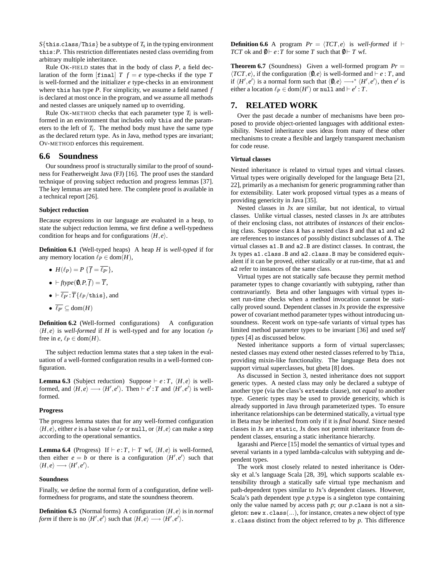$S\{\text{this.class}/\text{This}\}\$  be a subtype of  $T_s$  in the typing environment this:*P*. This restriction differentiates nested class overriding from arbitrary multiple inheritance.

Rule OK-FIELD states that in the body of class *P*, a field declaration of the form  $[\text{final}]$  *T*  $f = e$  type-checks if the type *T* is well-formed and the initializer *e* type-checks in an environment where this has type *P*. For simplicity, we assume a field named *f* is declared at most once in the program, and we assume all methods and nested classes are uniquely named up to overriding.

Rule OK-METHOD checks that each parameter type  $T_i$  is wellformed in an environment that includes only this and the parameters to the left of *Ti* . The method body must have the same type as the declared return type. As in Java, method types are invariant; OV-METHOD enforces this requirement.

## **6.6 Soundness**

Our soundness proof is structurally similar to the proof of soundness for Featherweight Java (FJ) [16]. The proof uses the standard technique of proving subject reduction and progress lemmas [37]. The key lemmas are stated here. The complete proof is available in a technical report [26].

#### **Subject reduction**

Because expressions in our language are evaluated in a heap, to state the subject reduction lemma, we first define a well-typedness condition for heaps and for configurations  $\langle H, e \rangle$ .

**Definition 6.1** (Well-typed heaps) A heap *H* is *well-typed* if for any memory location  $\ell_P \in \text{dom}(H)$ ,

- $H(\ell_P) = P \{ \overline{f} = \overline{\ell_{P'}} \},$
- $ftype(0, P, \overline{f}) = \overline{T}$ ,
- $\bullet \vdash \overline{\ell_{P'}} : \overline{T} {\ell_P{\text{-this}}},$  and
- $\overline{\ell_{P'}} \subseteq \text{dom}(H)$

**Definition 6.2** (Well-formed configurations) A configuration  $\langle H, e \rangle$  is *well-formed* if *H* is well-typed and for any location  $\ell_P$ free in  $e, \ell_P \in \text{dom}(H)$ .

The subject reduction lemma states that a step taken in the evaluation of a well-formed configuration results in a well-formed configuration.

**Lemma 6.3** (Subject reduction) Suppose  $\vdash e : T$ ,  $\langle H, e \rangle$  is wellformed, and  $\langle H, e \rangle \longrightarrow \langle H', e' \rangle$ . Then  $\vdash e' : T$  and  $\langle H', e' \rangle$  is wellformed.

#### **Progress**

The progress lemma states that for any well-formed configuration  $\langle H, e \rangle$ , either *e* is a base value  $\ell_P$  or null, or  $\langle H, e \rangle$  can make a step according to the operational semantics.

**Lemma 6.4** (Progress) If  $\vdash e : T$ ,  $\vdash T$  wf,  $\langle H, e \rangle$  is well-formed, then either  $e = b$  or there is a configuration  $\langle H', e' \rangle$  such that  $\langle H, e \rangle \longrightarrow \langle H', e' \rangle.$ 

#### **Soundness**

Finally, we define the normal form of a configuration, define wellformedness for programs, and state the soundness theorem.

**Definition 6.5** (Normal forms) A configuration  $\langle H, e \rangle$  is in *normal form* if there is no  $\langle H', e' \rangle$  such that  $\langle H, e \rangle \longrightarrow \langle H', e' \rangle$ .

**Definition 6.6** A program  $Pr = \langle TCT, e \rangle$  is *well-formed* if  $\vdash$ *TCT* ok and  $0 \vdash e : T$  for some *T* such that  $0 \vdash T$  wf.

**Theorem 6.7** (Soundness) Given a well-formed program  $Pr =$  $\langle TCT, e \rangle$ , if the configuration  $\langle \emptyset, e \rangle$  is well-formed and  $\vdash e : T$ , and if  $\langle H', e' \rangle$  is a normal form such that  $\langle 0, e \rangle \longrightarrow^* \langle H', e' \rangle$ , then *e'* is either a location  $\ell_P \in \text{dom}(H')$  or null and  $\vdash e' : T$ .

## **7. RELATED WORK**

Over the past decade a number of mechanisms have been proposed to provide object-oriented languages with additional extensibility. Nested inheritance uses ideas from many of these other mechanisms to create a flexible and largely transparent mechanism for code reuse.

#### **Virtual classes**

Nested inheritance is related to virtual types and virtual classes. Virtual types were originally developed for the language Beta [21, 22], primarily as a mechanism for generic programming rather than for extensibility. Later work proposed virtual types as a means of providing genericity in Java [35].

Nested classes in Jx are similar, but not identical, to virtual classes. Unlike virtual classes, nested classes in Jx are attributes of their enclosing class, not attributes of *instances* of their enclosing class. Suppose class A has a nested class B and that a1 and a2 are references to instances of possibly distinct subclasses of A. The virtual classes a1.B and a2.B are distinct classes. In contrast, the Jx types a1.class.B and a2.class.B may be considered equivalent if it can be proved, either statically or at run-time, that a1 and a2 refer to instances of the same class.

Virtual types are not statically safe because they permit method parameter types to change covariantly with subtyping, rather than contravariantly. Beta and other languages with virtual types insert run-time checks when a method invocation cannot be statically proved sound. Dependent classes in Jx provide the expressive power of covariant method parameter types without introducing unsoundness. Recent work on type-safe variants of virtual types has limited method parameter types to be invariant [36] and used *self types* [4] as discussed below.

Nested inheritance supports a form of virtual superclasses; nested classes may extend other nested classes referred to by This, providing mixin-like functionality. The language Beta does not support virtual superclasses, but gbeta [8] does.

As discussed in Section 3, nested inheritance does not support generic types. A nested class may only be declared a subtype of another type (via the class's extends clause), not *equal* to another type. Generic types may be used to provide genericity, which is already supported in Java through parameterized types. To ensure inheritance relationships can be determined statically, a virtual type in Beta may be inherited from only if it is *final bound*. Since nested classes in Jx are static, Jx does not permit inheritance from dependent classes, ensuring a static inheritance hierarchy.

Igarashi and Pierce [15] model the semantics of virtual types and several variants in a typed lambda-calculus with subtyping and dependent types.

The work most closely related to nested inheritance is Odersky et al.'s language Scala [28, 39], which supports scalable extensibility through a statically safe virtual type mechanism and path-dependent types similar to Jx's dependent classes. However, Scala's path dependent type *p*.type is a singleton type containing only the value named by access path  $p$ ; our  $p$ .class is not a singleton:  $new x.class(...)$ , for instance, creates a new object of type x.class distinct from the object referred to by *p*. This difference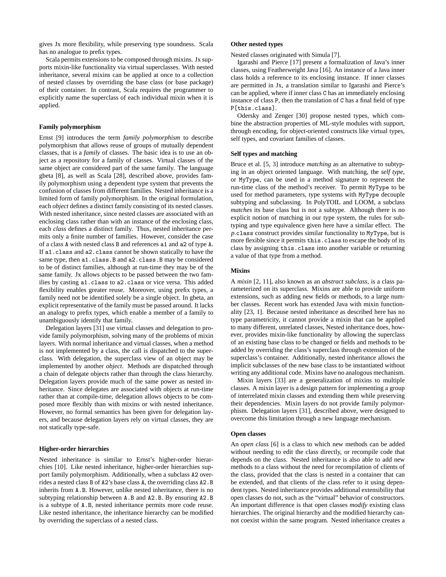gives Jx more flexibility, while preserving type soundness. Scala has no analogue to prefix types.

Scala permits extensions to be composed through mixins. Jx supports mixin-like functionality via virtual superclasses. With nested inheritance, several mixins can be applied at once to a collection of nested classes by overriding the base class (or base package) of their container. In contrast, Scala requires the programmer to explicitly name the superclass of each individual mixin when it is applied.

#### **Family polymorphism**

Ernst [9] introduces the term *family polymorphism* to describe polymorphism that allows reuse of groups of mutually dependent classes, that is a *family* of classes. The basic idea is to use an object as a repository for a family of classes. Virtual classes of the same object are considered part of the same family. The language gbeta [8], as well as Scala [28], described above, provides family polymorphism using a dependent type system that prevents the confusion of classes from different families. Nested inheritance is a limited form of family polymorphism. In the original formulation, each *object* defines a distinct family consisting of its nested classes. With nested inheritance, since nested classes are associated with an enclosing class rather than with an instance of the enclosing class, each *class* defines a distinct family. Thus, nested inheritance permits only a finite number of families. However, consider the case of a class A with nested class B and references a1 and a2 of type A. If a1.class and a2.class cannot be shown statically to have the same type, then a1.class.B and a2.class.B may be considered to be of distinct families, although at run-time they may be of the same family. Jx allows objects to be passed between the two families by casting a1.class to a2.class or vice versa. This added flexibility enables greater reuse. Moreover, using prefix types, a family need not be identified solely be a single object. In gbeta, an explicit representative of the family must be passed around. It lacks an analogy to prefix types, which enable a member of a family to unambiguously identify that family.

Delegation layers [31] use virtual classes and delegation to provide family polymorphism, solving many of the problems of mixin layers. With normal inheritance and virtual classes, when a method is not implemented by a class, the call is dispatched to the superclass. With delegation, the superclass view of an object may be implemented by another *object*. Methods are dispatched through a chain of delegate objects rather than through the class hierarchy. Delegation layers provide much of the same power as nested inheritance. Since delegates are associated with objects at run-time rather than at compile-time, delegation allows objects to be composed more flexibly than with mixins or with nested inheritance. However, no formal semantics has been given for delegation layers, and because delegation layers rely on virtual classes, they are not statically type-safe.

#### **Higher-order hierarchies**

Nested inheritance is similar to Ernst's higher-order hierarchies [10]. Like nested inheritance, higher-order hierarchies support family polymorphism. Additionally, when a subclass A2 overrides a nested class B of A2's base class A, the overriding class A2.B inherits from A.B. However, unlike nested inheritance, there is no subtyping relationship between A.B and A2.B. By ensuring A2.B is a subtype of A.B, nested inheritance permits more code reuse. Like nested inheritance, the inheritance hierarchy can be modified by overriding the superclass of a nested class.

#### **Other nested types**

Nested classes originated with Simula [7].

Igarashi and Pierce [17] present a formalization of Java's inner classes, using Featherweight Java [16]. An instance of a Java inner class holds a reference to its enclosing instance. If inner classes are permitted in Jx, a translation similar to Igarashi and Pierce's can be applied, where if inner class C has an immediately enclosing instance of class P, then the translation of C has a final field of type P[this.class].

Odersky and Zenger [30] propose nested types, which combine the abstraction properties of ML-style modules with support, through encoding, for object-oriented constructs like virtual types, self types, and covariant families of classes.

#### **Self types and matching**

Bruce et al. [5, 3] introduce *matching* as an alternative to subtyping in an object oriented language. With matching, the *self type*, or MyType, can be used in a method signature to represent the run-time class of the method's receiver. To permit MyType to be used for method parameters, type systems with MyType decouple subtyping and subclassing. In PolyTOIL and LOOM, a subclass *matches* its base class but is not a subtype. Although there is no explicit notion of matching in our type system, the rules for subtyping and type equivalence given here have a similar effect. The *p*.class construct provides similar functionality to MyType, but is more flexible since it permits this.class to escape the body of its class by assigning this.class into another variable or returning a value of that type from a method.

#### **Mixins**

A *mixin* [2, 11], also known as an *abstract subclass*, is a class parameterized on its superclass. Mixins are able to provide uniform extensions, such as adding new fields or methods, to a large number classes. Recent work has extended Java with mixin functionality [23, 1]. Because nested inheritance as described here has no type parametricity, it cannot provide a mixin that can be applied to many different, unrelated classes, Nested inheritance does, however, provides mixin-like functionality by allowing the superclass of an existing base class to be changed or fields and methods to be added by overriding the class's superclass through extension of the superclass's container. Additionally, nested inheritance allows the implicit subclasses of the new base class to be instantiated without writing any additional code. Mixins have no analogous mechanism.

Mixin layers [33] are a generalization of mixins to multiple classes. A mixin layer is a design pattern for implementing a group of interrelated mixin classes and extending them while preserving their dependencies. Mixin layers do not provide family polymorphism. Delegation layers [31], described above, were designed to overcome this limitation through a new language mechanism.

#### **Open classes**

An *open class* [6] is a class to which new methods can be added without needing to edit the class directly, or recompile code that depends on the class. Nested inheritance is also able to add new methods to a class without the need for recompilation of clients of the class, provided that the class is nested in a container that can be extended, and that clients of the class refer to it using dependent types. Nested inheritance provides additional extensibility that open classes do not, such as the "virtual" behavior of constructors. An important difference is that open classes *modify* existing class hierarchies. The original hierarchy and the modified hierarchy cannot coexist within the same program. Nested inheritance creates a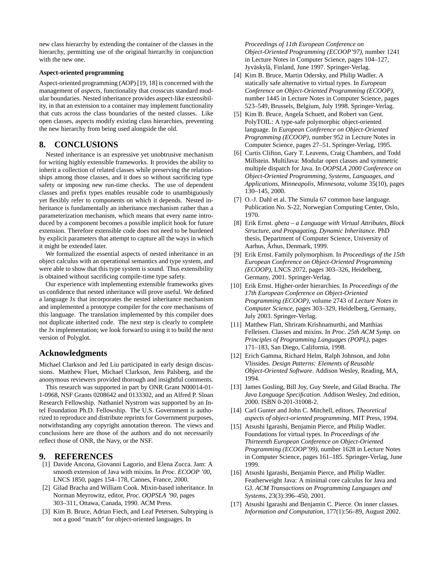new class hierarchy by extending the container of the classes in the hierarchy, permitting use of the original hierarchy in conjunction with the new one.

#### **Aspect-oriented programming**

Aspect-oriented programming (AOP) [19, 18] is concerned with the management of *aspects*, functionality that crosscuts standard modular boundaries. Nested inheritance provides aspect-like extensibility, in that an extension to a container may implement functionality that cuts across the class boundaries of the nested classes. Like open classes, aspects modify existing class hierarchies, preventing the new hierarchy from being used alongside the old.

## **8. CONCLUSIONS**

Nested inheritance is an expressive yet unobtrusive mechanism for writing highly extensible frameworks. It provides the ability to inherit a collection of related classes while preserving the relationships among those classes, and it does so without sacrificing type safety or imposing new run-time checks. The use of dependent classes and prefix types enables reusable code to unambiguously yet flexibly refer to components on which it depends. Nested inheritance is fundamentally an inheritance mechanism rather than a parameterization mechanism, which means that every name introduced by a component becomes a possible implicit hook for future extension. Therefore extensible code does not need to be burdened by explicit parameters that attempt to capture all the ways in which it might be extended later.

We formalized the essential aspects of nested inheritance in an object calculus with an operational semantics and type system, and were able to show that this type system is sound. Thus extensibility is obtained without sacrificing compile-time type safety.

Our experience with implementing extensible frameworks gives us confidence that nested inheritance will prove useful. We defined a language Jx that incorporates the nested inheritance mechanism and implemented a prototype compiler for the core mechanisms of this language. The translation implemented by this compiler does not duplicate inherited code. The next step is clearly to complete the Jx implementation; we look forward to using it to build the next version of Polyglot.

## **Acknowledgments**

Michael Clarkson and Jed Liu participated in early design discussions. Matthew Fluet, Michael Clarkson, Jens Palsberg, and the anonymous reviewers provided thorough and insightful comments.

This research was supported in part by ONR Grant N00014-01- 1-0968, NSF Grants 0208642 and 0133302, and an Alfred P. Sloan Research Fellowship. Nathaniel Nystrom was supported by an Intel Foundation Ph.D. Fellowship. The U.S. Government is authorized to reproduce and distribute reprints for Government purposes, notwithstanding any copyright annotation thereon. The views and conclusions here are those of the authors and do not necessarily reflect those of ONR, the Navy, or the NSF.

## **9. REFERENCES**

- [1] Davide Ancona, Giovanni Lagorio, and Elena Zucca. Jam: A smooth extension of Java with mixins. In *Proc. ECOOP '00*, LNCS 1850, pages 154–178, Cannes, France, 2000.
- [2] Gilad Bracha and William Cook. Mixin-based inheritance. In Norman Meyrowitz, editor, *Proc. OOPSLA '90*, pages 303–311, Ottawa, Canada, 1990. ACM Press.
- [3] Kim B. Bruce, Adrian Fiech, and Leaf Petersen. Subtyping is not a good "match" for object-oriented languages. In

*Proceedings of 11th European Conference on Object-Oriented Programming (ECOOP'97)*, number 1241 in Lecture Notes in Computer Science, pages 104–127, Jyväskylä, Finland, June 1997. Springer-Verlag.

- [4] Kim B. Bruce, Martin Odersky, and Philip Wadler. A statically safe alternative to virtual types. In *European Conference on Object-Oriented Programming (ECOOP)*, number 1445 in Lecture Notes in Computer Science, pages 523–549, Brussels, Belgium, July 1998. Springer-Verlag.
- [5] Kim B. Bruce, Angela Schuett, and Robert van Gent. PolyTOIL: A type-safe polymorphic object-oriented language. In *European Conference on Object-Oriented Programming (ECOOP)*, number 952 in Lecture Notes in Computer Science, pages 27–51. Springer-Verlag, 1995.
- [6] Curtis Clifton, Gary T. Leavens, Craig Chambers, and Todd Millstein. MultiJava: Modular open classes and symmetric multiple dispatch for Java. In *OOPSLA 2000 Conference on Object-Oriented Programming, Systems, Languages, and Applications, Minneapolis, Minnesota*, volume 35(10), pages 130–145, 2000.
- [7] O.-J. Dahl et al. The Simula 67 common base language. Publication No. S-22, Norwegian Computing Center, Oslo, 1970.
- [8] Erik Ernst. *gbeta a Language with Virtual Attributes, Block Structure, and Propagating, Dynamic Inheritance*. PhD thesis, Department of Computer Science, University of Aarhus, Århus, Denmark, 1999.
- [9] Erik Ernst. Family polymorphism. In *Proceedings of the 15th European Conference on Object-Oriented Programming (ECOOP)*, LNCS 2072, pages 303–326, Heidelberg, Germany, 2001. Springer-Verlag.
- [10] Erik Ernst. Higher-order hierarchies. In *Proceedings of the 17th European Conference on Object-Oriented Programming (ECOOP)*, volume 2743 of *Lecture Notes in Computer Science*, pages 303–329, Heidelberg, Germany, July 2003. Springer-Verlag.
- [11] Matthew Flatt, Shriram Krishnamurthi, and Matthias Felleisen. Classes and mixins. In *Proc. 25th ACM Symp. on Principles of Programming Languages (POPL)*, pages 171–183, San Diego, California, 1998.
- [12] Erich Gamma, Richard Helm, Ralph Johnson, and John Vlissides. *Design Patterns: Elements of Reusable Object-Oriented Software*. Addison Wesley, Reading, MA, 1994.
- [13] James Gosling, Bill Joy, Guy Steele, and Gilad Bracha. *The Java Language Specification*. Addison Wesley, 2nd edition, 2000. ISBN 0-201-31008-2.
- [14] Carl Gunter and John C. Mitchell, editors. *Theoretical aspects of object-oriented programming*. MIT Press, 1994.
- [15] Atsushi Igarashi, Benjamin Pierce, and Philip Wadler. Foundations for virtual types. In *Proceedings of the Thirteenth European Conference on Object-Oriented Programming (ECOOP'99)*, number 1628 in Lecture Notes in Computer Science, pages 161–185. Springer-Verlag, June 1999.
- [16] Atsushi Igarashi, Benjamin Pierce, and Philip Wadler. Featherweight Java: A minimal core calculus for Java and GJ. *ACM Transactions on Programming Languages and Systems*, 23(3):396–450, 2001.
- [17] Atsushi Igarashi and Benjamin C. Pierce. On inner classes. *Information and Computation*, 177(1):56–89, August 2002.